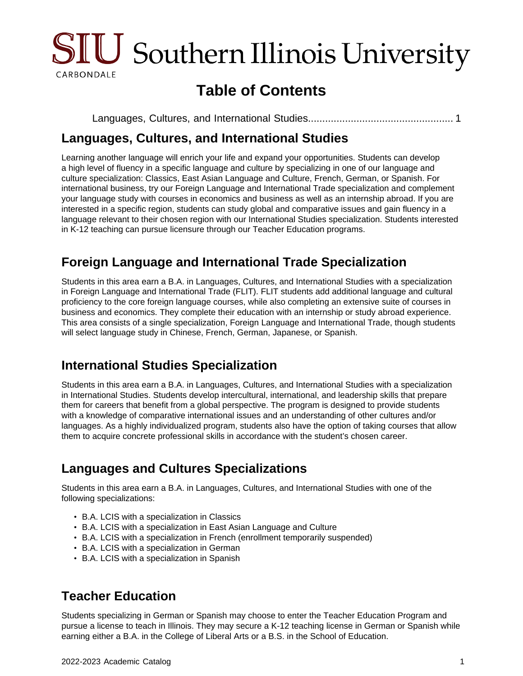

# **Table of Contents**

[Languages, Cultures, and International Studies...............................................](#page-0-0).... 1

# <span id="page-0-0"></span>**Languages, Cultures, and International Studies**

Learning another language will enrich your life and expand your opportunities. Students can develop a high level of fluency in a specific language and culture by specializing in one of our language and culture specialization: Classics, East Asian Language and Culture, French, German, or Spanish. For international business, try our Foreign Language and International Trade specialization and complement your language study with courses in economics and business as well as an internship abroad. If you are interested in a specific region, students can study global and comparative issues and gain fluency in a language relevant to their chosen region with our International Studies specialization. Students interested in K-12 teaching can pursue licensure through our Teacher Education programs.

# **Foreign Language and International Trade Specialization**

Students in this area earn a B.A. in Languages, Cultures, and International Studies with a specialization in Foreign Language and International Trade (FLIT). FLIT students add additional language and cultural proficiency to the core foreign language courses, while also completing an extensive suite of courses in business and economics. They complete their education with an internship or study abroad experience. This area consists of a single specialization, Foreign Language and International Trade, though students will select language study in Chinese, French, German, Japanese, or Spanish.

# **International Studies Specialization**

Students in this area earn a B.A. in Languages, Cultures, and International Studies with a specialization in International Studies. Students develop intercultural, international, and leadership skills that prepare them for careers that benefit from a global perspective. The program is designed to provide students with a knowledge of comparative international issues and an understanding of other cultures and/or languages. As a highly individualized program, students also have the option of taking courses that allow them to acquire concrete professional skills in accordance with the student's chosen career.

# **Languages and Cultures Specializations**

Students in this area earn a B.A. in Languages, Cultures, and International Studies with one of the following specializations:

- B.A. LCIS with a specialization in Classics
- B.A. LCIS with a specialization in East Asian Language and Culture
- B.A. LCIS with a specialization in French (enrollment temporarily suspended)
- B.A. LCIS with a specialization in German
- B.A. LCIS with a specialization in Spanish

# **Teacher Education**

Students specializing in German or Spanish may choose to enter the Teacher Education Program and pursue a license to teach in Illinois. They may secure a K-12 teaching license in German or Spanish while earning either a B.A. in the College of Liberal Arts or a B.S. in the School of Education.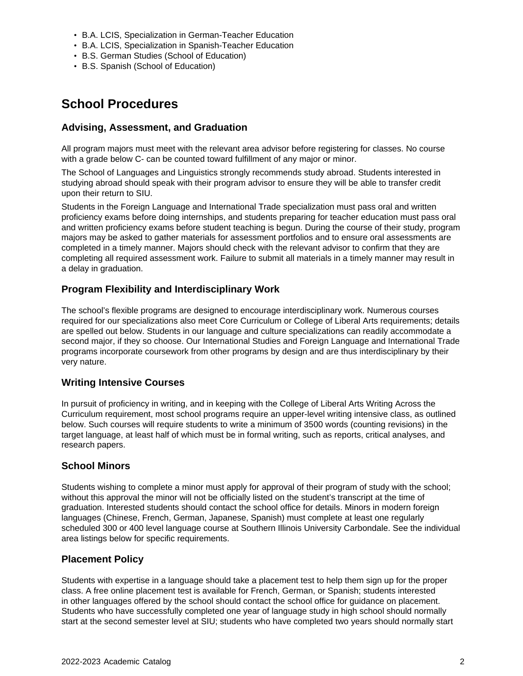- B.A. LCIS, Specialization in German-Teacher Education
- B.A. LCIS, Specialization in Spanish-Teacher Education
- B.S. German Studies (School of Education)
- B.S. Spanish (School of Education)

## **School Procedures**

#### **Advising, Assessment, and Graduation**

All program majors must meet with the relevant area advisor before registering for classes. No course with a grade below C- can be counted toward fulfillment of any major or minor.

The School of Languages and Linguistics strongly recommends study abroad. Students interested in studying abroad should speak with their program advisor to ensure they will be able to transfer credit upon their return to SIU.

Students in the Foreign Language and International Trade specialization must pass oral and written proficiency exams before doing internships, and students preparing for teacher education must pass oral and written proficiency exams before student teaching is begun. During the course of their study, program majors may be asked to gather materials for assessment portfolios and to ensure oral assessments are completed in a timely manner. Majors should check with the relevant advisor to confirm that they are completing all required assessment work. Failure to submit all materials in a timely manner may result in a delay in graduation.

### **Program Flexibility and Interdisciplinary Work**

The school's flexible programs are designed to encourage interdisciplinary work. Numerous courses required for our specializations also meet Core Curriculum or College of Liberal Arts requirements; details are spelled out below. Students in our language and culture specializations can readily accommodate a second major, if they so choose. Our International Studies and Foreign Language and International Trade programs incorporate coursework from other programs by design and are thus interdisciplinary by their very nature.

#### **Writing Intensive Courses**

In pursuit of proficiency in writing, and in keeping with the College of Liberal Arts Writing Across the Curriculum requirement, most school programs require an upper-level writing intensive class, as outlined below. Such courses will require students to write a minimum of 3500 words (counting revisions) in the target language, at least half of which must be in formal writing, such as reports, critical analyses, and research papers.

#### **School Minors**

Students wishing to complete a minor must apply for approval of their program of study with the school; without this approval the minor will not be officially listed on the student's transcript at the time of graduation. Interested students should contact the school office for details. Minors in modern foreign languages (Chinese, French, German, Japanese, Spanish) must complete at least one regularly scheduled 300 or 400 level language course at Southern Illinois University Carbondale. See the individual area listings below for specific requirements.

#### **Placement Policy**

Students with expertise in a language should take a placement test to help them sign up for the proper class. A free online placement test is available for French, German, or Spanish; students interested in other languages offered by the school should contact the school office for guidance on placement. Students who have successfully completed one year of language study in high school should normally start at the second semester level at SIU; students who have completed two years should normally start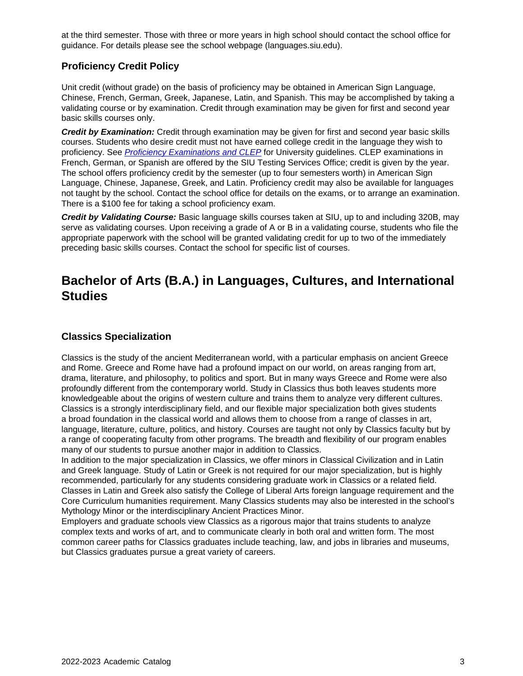at the third semester. Those with three or more years in high school should contact the school office for guidance. For details please see the school webpage (languages.siu.edu).

### **Proficiency Credit Policy**

Unit credit (without grade) on the basis of proficiency may be obtained in American Sign Language, Chinese, French, German, Greek, Japanese, Latin, and Spanish. This may be accomplished by taking a validating course or by examination. Credit through examination may be given for first and second year basic skills courses only.

**Credit by Examination:** Credit through examination may be given for first and second year basic skills courses. Students who desire credit must not have earned college credit in the language they wish to proficiency. See [Proficiency Examinations and CLEP](site://ZY Undergraduate Catalog june 22/admissions/alternative-credit#proficiency-exam) for University guidelines. CLEP examinations in French, German, or Spanish are offered by the SIU Testing Services Office; credit is given by the year. The school offers proficiency credit by the semester (up to four semesters worth) in American Sign Language, Chinese, Japanese, Greek, and Latin. Proficiency credit may also be available for languages not taught by the school. Contact the school office for details on the exams, or to arrange an examination. There is a \$100 fee for taking a school proficiency exam.

**Credit by Validating Course:** Basic language skills courses taken at SIU, up to and including 320B, may serve as validating courses. Upon receiving a grade of A or B in a validating course, students who file the appropriate paperwork with the school will be granted validating credit for up to two of the immediately preceding basic skills courses. Contact the school for specific list of courses.

## **Bachelor of Arts (B.A.) in Languages, Cultures, and International Studies**

#### **Classics Specialization**

Classics is the study of the ancient Mediterranean world, with a particular emphasis on ancient Greece and Rome. Greece and Rome have had a profound impact on our world, on areas ranging from art, drama, literature, and philosophy, to politics and sport. But in many ways Greece and Rome were also profoundly different from the contemporary world. Study in Classics thus both leaves students more knowledgeable about the origins of western culture and trains them to analyze very different cultures. Classics is a strongly interdisciplinary field, and our flexible major specialization both gives students a broad foundation in the classical world and allows them to choose from a range of classes in art, language, literature, culture, politics, and history. Courses are taught not only by Classics faculty but by a range of cooperating faculty from other programs. The breadth and flexibility of our program enables many of our students to pursue another major in addition to Classics.

In addition to the major specialization in Classics, we offer minors in Classical Civilization and in Latin and Greek language. Study of Latin or Greek is not required for our major specialization, but is highly recommended, particularly for any students considering graduate work in Classics or a related field. Classes in Latin and Greek also satisfy the College of Liberal Arts foreign language requirement and the Core Curriculum humanities requirement. Many Classics students may also be interested in the school's Mythology Minor or the interdisciplinary Ancient Practices Minor.

Employers and graduate schools view Classics as a rigorous major that trains students to analyze complex texts and works of art, and to communicate clearly in both oral and written form. The most common career paths for Classics graduates include teaching, law, and jobs in libraries and museums, but Classics graduates pursue a great variety of careers.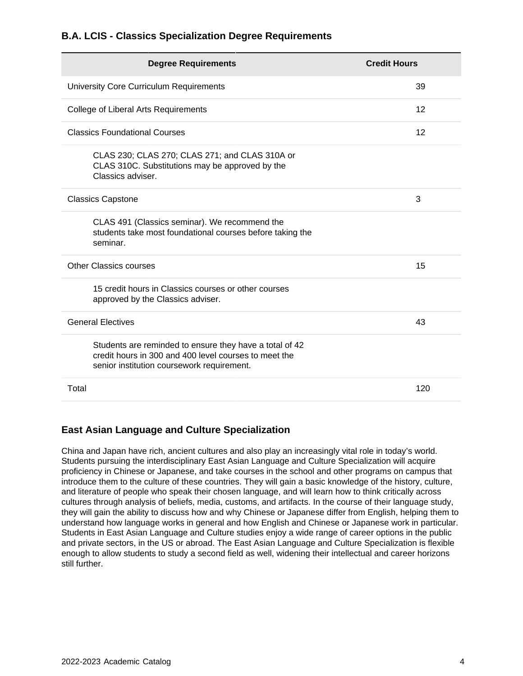### **B.A. LCIS - Classics Specialization Degree Requirements**

| <b>Degree Requirements</b>                                                                                                                                     | <b>Credit Hours</b> |
|----------------------------------------------------------------------------------------------------------------------------------------------------------------|---------------------|
| University Core Curriculum Requirements                                                                                                                        | 39                  |
| <b>College of Liberal Arts Requirements</b>                                                                                                                    | 12                  |
| <b>Classics Foundational Courses</b>                                                                                                                           | 12                  |
| CLAS 230; CLAS 270; CLAS 271; and CLAS 310A or<br>CLAS 310C. Substitutions may be approved by the<br>Classics adviser.                                         |                     |
| <b>Classics Capstone</b>                                                                                                                                       | 3                   |
| CLAS 491 (Classics seminar). We recommend the<br>students take most foundational courses before taking the<br>seminar.                                         |                     |
| Other Classics courses                                                                                                                                         | 15                  |
| 15 credit hours in Classics courses or other courses<br>approved by the Classics adviser.                                                                      |                     |
| <b>General Electives</b>                                                                                                                                       | 43                  |
| Students are reminded to ensure they have a total of 42<br>credit hours in 300 and 400 level courses to meet the<br>senior institution coursework requirement. |                     |
| Total                                                                                                                                                          | 120                 |

### **East Asian Language and Culture Specialization**

China and Japan have rich, ancient cultures and also play an increasingly vital role in today's world. Students pursuing the interdisciplinary East Asian Language and Culture Specialization will acquire proficiency in Chinese or Japanese, and take courses in the school and other programs on campus that introduce them to the culture of these countries. They will gain a basic knowledge of the history, culture, and literature of people who speak their chosen language, and will learn how to think critically across cultures through analysis of beliefs, media, customs, and artifacts. In the course of their language study, they will gain the ability to discuss how and why Chinese or Japanese differ from English, helping them to understand how language works in general and how English and Chinese or Japanese work in particular. Students in East Asian Language and Culture studies enjoy a wide range of career options in the public and private sectors, in the US or abroad. The East Asian Language and Culture Specialization is flexible enough to allow students to study a second field as well, widening their intellectual and career horizons still further.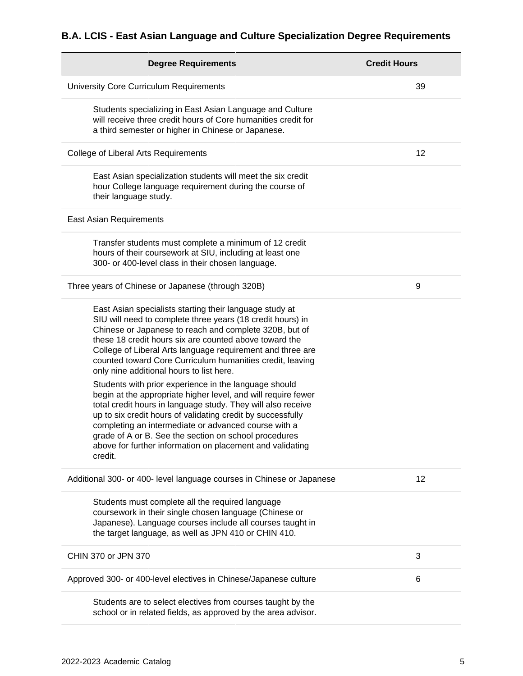## **B.A. LCIS - East Asian Language and Culture Specialization Degree Requirements**

| <b>Degree Requirements</b>                                                                                                                                                                                                                                                                                                                                                                                                                                                                                                                                                                                                                                                                                                                                                                                                                                         | <b>Credit Hours</b> |
|--------------------------------------------------------------------------------------------------------------------------------------------------------------------------------------------------------------------------------------------------------------------------------------------------------------------------------------------------------------------------------------------------------------------------------------------------------------------------------------------------------------------------------------------------------------------------------------------------------------------------------------------------------------------------------------------------------------------------------------------------------------------------------------------------------------------------------------------------------------------|---------------------|
| University Core Curriculum Requirements                                                                                                                                                                                                                                                                                                                                                                                                                                                                                                                                                                                                                                                                                                                                                                                                                            | 39                  |
| Students specializing in East Asian Language and Culture<br>will receive three credit hours of Core humanities credit for<br>a third semester or higher in Chinese or Japanese.                                                                                                                                                                                                                                                                                                                                                                                                                                                                                                                                                                                                                                                                                    |                     |
| College of Liberal Arts Requirements                                                                                                                                                                                                                                                                                                                                                                                                                                                                                                                                                                                                                                                                                                                                                                                                                               | 12                  |
| East Asian specialization students will meet the six credit<br>hour College language requirement during the course of<br>their language study.                                                                                                                                                                                                                                                                                                                                                                                                                                                                                                                                                                                                                                                                                                                     |                     |
| East Asian Requirements                                                                                                                                                                                                                                                                                                                                                                                                                                                                                                                                                                                                                                                                                                                                                                                                                                            |                     |
| Transfer students must complete a minimum of 12 credit<br>hours of their coursework at SIU, including at least one<br>300- or 400-level class in their chosen language.                                                                                                                                                                                                                                                                                                                                                                                                                                                                                                                                                                                                                                                                                            |                     |
| Three years of Chinese or Japanese (through 320B)                                                                                                                                                                                                                                                                                                                                                                                                                                                                                                                                                                                                                                                                                                                                                                                                                  | 9                   |
| East Asian specialists starting their language study at<br>SIU will need to complete three years (18 credit hours) in<br>Chinese or Japanese to reach and complete 320B, but of<br>these 18 credit hours six are counted above toward the<br>College of Liberal Arts language requirement and three are<br>counted toward Core Curriculum humanities credit, leaving<br>only nine additional hours to list here.<br>Students with prior experience in the language should<br>begin at the appropriate higher level, and will require fewer<br>total credit hours in language study. They will also receive<br>up to six credit hours of validating credit by successfully<br>completing an intermediate or advanced course with a<br>grade of A or B. See the section on school procedures<br>above for further information on placement and validating<br>credit. |                     |
| Additional 300- or 400- level language courses in Chinese or Japanese                                                                                                                                                                                                                                                                                                                                                                                                                                                                                                                                                                                                                                                                                                                                                                                              | 12                  |
| Students must complete all the required language<br>coursework in their single chosen language (Chinese or<br>Japanese). Language courses include all courses taught in<br>the target language, as well as JPN 410 or CHIN 410.                                                                                                                                                                                                                                                                                                                                                                                                                                                                                                                                                                                                                                    |                     |
| CHIN 370 or JPN 370                                                                                                                                                                                                                                                                                                                                                                                                                                                                                                                                                                                                                                                                                                                                                                                                                                                | 3                   |
| Approved 300- or 400-level electives in Chinese/Japanese culture                                                                                                                                                                                                                                                                                                                                                                                                                                                                                                                                                                                                                                                                                                                                                                                                   | 6                   |
| Students are to select electives from courses taught by the<br>school or in related fields, as approved by the area advisor.                                                                                                                                                                                                                                                                                                                                                                                                                                                                                                                                                                                                                                                                                                                                       |                     |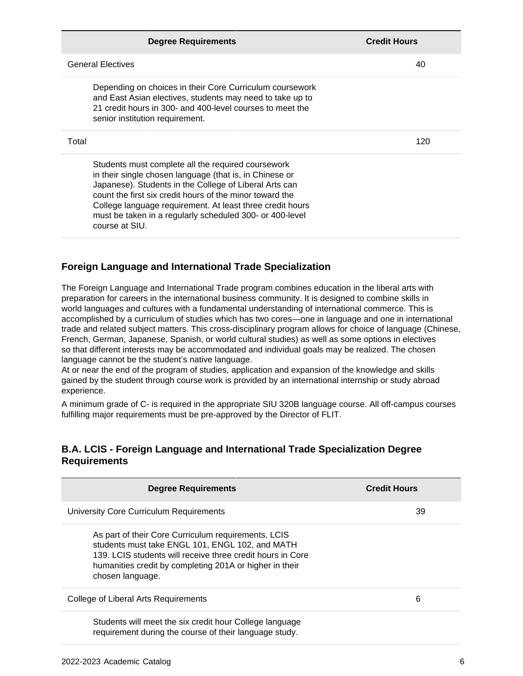|       | <b>Degree Requirements</b>                                                                                                                                                                                                                                                                                                                                                     | <b>Credit Hours</b> |
|-------|--------------------------------------------------------------------------------------------------------------------------------------------------------------------------------------------------------------------------------------------------------------------------------------------------------------------------------------------------------------------------------|---------------------|
|       | <b>General Electives</b>                                                                                                                                                                                                                                                                                                                                                       | 40                  |
|       | Depending on choices in their Core Curriculum coursework<br>and East Asian electives, students may need to take up to<br>21 credit hours in 300- and 400-level courses to meet the<br>senior institution requirement.                                                                                                                                                          |                     |
| Total |                                                                                                                                                                                                                                                                                                                                                                                | 120                 |
|       | Students must complete all the required coursework<br>in their single chosen language (that is, in Chinese or<br>Japanese). Students in the College of Liberal Arts can<br>count the first six credit hours of the minor toward the<br>College language requirement. At least three credit hours<br>must be taken in a regularly scheduled 300- or 400-level<br>course at SIU. |                     |

### **Foreign Language and International Trade Specialization**

The Foreign Language and International Trade program combines education in the liberal arts with preparation for careers in the international business community. It is designed to combine skills in world languages and cultures with a fundamental understanding of international commerce. This is accomplished by a curriculum of studies which has two cores—one in language and one in international trade and related subject matters. This cross-disciplinary program allows for choice of language (Chinese, French, German, Japanese, Spanish, or world cultural studies) as well as some options in electives so that different interests may be accommodated and individual goals may be realized. The chosen language cannot be the student's native language.

At or near the end of the program of studies, application and expansion of the knowledge and skills gained by the student through course work is provided by an international internship or study abroad experience.

A minimum grade of C- is required in the appropriate SIU 320B language course. All off-campus courses fulfilling major requirements must be pre-approved by the Director of FLIT.

#### **B.A. LCIS - Foreign Language and International Trade Specialization Degree Requirements**

| <b>Degree Requirements</b>                                                                                                                                                                                                                          | <b>Credit Hours</b> |
|-----------------------------------------------------------------------------------------------------------------------------------------------------------------------------------------------------------------------------------------------------|---------------------|
| University Core Curriculum Requirements                                                                                                                                                                                                             | 39                  |
| As part of their Core Curriculum requirements, LCIS<br>students must take ENGL 101, ENGL 102, and MATH<br>139. LCIS students will receive three credit hours in Core<br>humanities credit by completing 201A or higher in their<br>chosen language. |                     |
| College of Liberal Arts Requirements                                                                                                                                                                                                                | 6                   |
| Students will meet the six credit hour College language<br>requirement during the course of their language study.                                                                                                                                   |                     |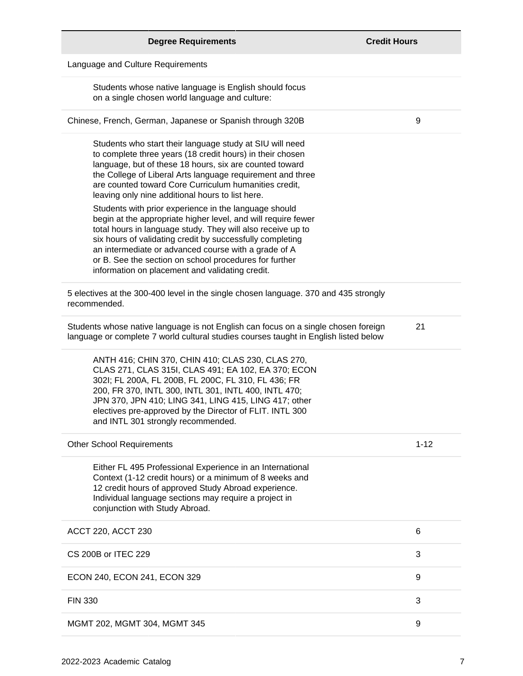| <b>Degree Requirements</b>                                                                                                                                                                                                                                                                                                                                                                                                                                                                                                                                                                                                                                                                                                                                                             | <b>Credit Hours</b> |
|----------------------------------------------------------------------------------------------------------------------------------------------------------------------------------------------------------------------------------------------------------------------------------------------------------------------------------------------------------------------------------------------------------------------------------------------------------------------------------------------------------------------------------------------------------------------------------------------------------------------------------------------------------------------------------------------------------------------------------------------------------------------------------------|---------------------|
| Language and Culture Requirements                                                                                                                                                                                                                                                                                                                                                                                                                                                                                                                                                                                                                                                                                                                                                      |                     |
| Students whose native language is English should focus<br>on a single chosen world language and culture:                                                                                                                                                                                                                                                                                                                                                                                                                                                                                                                                                                                                                                                                               |                     |
| Chinese, French, German, Japanese or Spanish through 320B                                                                                                                                                                                                                                                                                                                                                                                                                                                                                                                                                                                                                                                                                                                              | 9                   |
| Students who start their language study at SIU will need<br>to complete three years (18 credit hours) in their chosen<br>language, but of these 18 hours, six are counted toward<br>the College of Liberal Arts language requirement and three<br>are counted toward Core Curriculum humanities credit,<br>leaving only nine additional hours to list here.<br>Students with prior experience in the language should<br>begin at the appropriate higher level, and will require fewer<br>total hours in language study. They will also receive up to<br>six hours of validating credit by successfully completing<br>an intermediate or advanced course with a grade of A<br>or B. See the section on school procedures for further<br>information on placement and validating credit. |                     |
| 5 electives at the 300-400 level in the single chosen language. 370 and 435 strongly<br>recommended.                                                                                                                                                                                                                                                                                                                                                                                                                                                                                                                                                                                                                                                                                   |                     |
| Students whose native language is not English can focus on a single chosen foreign<br>language or complete 7 world cultural studies courses taught in English listed below                                                                                                                                                                                                                                                                                                                                                                                                                                                                                                                                                                                                             | 21                  |
| ANTH 416; CHIN 370, CHIN 410; CLAS 230, CLAS 270,<br>CLAS 271, CLAS 315I, CLAS 491; EA 102, EA 370; ECON<br>302I; FL 200A, FL 200B, FL 200C, FL 310, FL 436; FR<br>200, FR 370, INTL 300, INTL 301, INTL 400, INTL 470;<br>JPN 370, JPN 410; LING 341, LING 415, LING 417; other<br>electives pre-approved by the Director of FLIT. INTL 300<br>and INTL 301 strongly recommended.                                                                                                                                                                                                                                                                                                                                                                                                     |                     |
| <b>Other School Requirements</b>                                                                                                                                                                                                                                                                                                                                                                                                                                                                                                                                                                                                                                                                                                                                                       | $1 - 12$            |
| Either FL 495 Professional Experience in an International<br>Context (1-12 credit hours) or a minimum of 8 weeks and<br>12 credit hours of approved Study Abroad experience.<br>Individual language sections may require a project in<br>conjunction with Study Abroad.                                                                                                                                                                                                                                                                                                                                                                                                                                                                                                                |                     |
| ACCT 220, ACCT 230                                                                                                                                                                                                                                                                                                                                                                                                                                                                                                                                                                                                                                                                                                                                                                     | 6                   |
| CS 200B or ITEC 229                                                                                                                                                                                                                                                                                                                                                                                                                                                                                                                                                                                                                                                                                                                                                                    | 3                   |
| ECON 240, ECON 241, ECON 329                                                                                                                                                                                                                                                                                                                                                                                                                                                                                                                                                                                                                                                                                                                                                           | 9                   |
| <b>FIN 330</b>                                                                                                                                                                                                                                                                                                                                                                                                                                                                                                                                                                                                                                                                                                                                                                         | 3                   |
| MGMT 202, MGMT 304, MGMT 345                                                                                                                                                                                                                                                                                                                                                                                                                                                                                                                                                                                                                                                                                                                                                           | 9                   |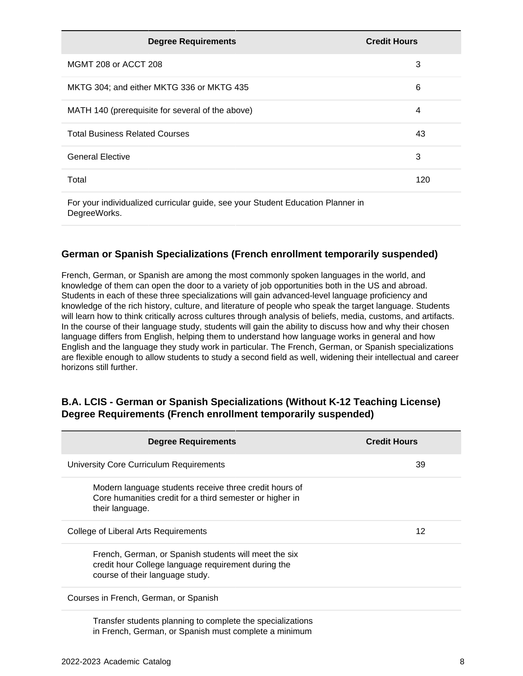| <b>Credit Hours</b> |
|---------------------|
| 3                   |
| 6                   |
| 4                   |
| 43                  |
| 3                   |
| 120                 |
|                     |

For your individualized curricular guide, see your Student Education Planner in DegreeWorks.

### **German or Spanish Specializations (French enrollment temporarily suspended)**

French, German, or Spanish are among the most commonly spoken languages in the world, and knowledge of them can open the door to a variety of job opportunities both in the US and abroad. Students in each of these three specializations will gain advanced-level language proficiency and knowledge of the rich history, culture, and literature of people who speak the target language. Students will learn how to think critically across cultures through analysis of beliefs, media, customs, and artifacts. In the course of their language study, students will gain the ability to discuss how and why their chosen language differs from English, helping them to understand how language works in general and how English and the language they study work in particular. The French, German, or Spanish specializations are flexible enough to allow students to study a second field as well, widening their intellectual and career horizons still further.

### **B.A. LCIS - German or Spanish Specializations (Without K-12 Teaching License) Degree Requirements (French enrollment temporarily suspended)**

| <b>Degree Requirements</b>                                                                                                                      | <b>Credit Hours</b> |
|-------------------------------------------------------------------------------------------------------------------------------------------------|---------------------|
| University Core Curriculum Requirements                                                                                                         | 39                  |
| Modern language students receive three credit hours of<br>Core humanities credit for a third semester or higher in<br>their language.           |                     |
| College of Liberal Arts Requirements                                                                                                            | 12                  |
| French, German, or Spanish students will meet the six<br>credit hour College language requirement during the<br>course of their language study. |                     |
| Courses in French, German, or Spanish                                                                                                           |                     |
| Transfer students planning to complete the specializations<br>in French, German, or Spanish must complete a minimum                             |                     |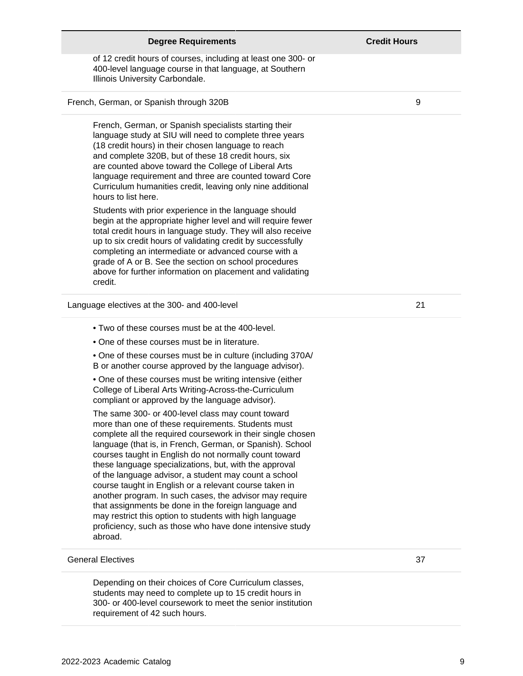| <b>Degree Requirements</b>                                                                                                                                                                                                                                                                                                                                                                                                                                                                                                                                                                                                                                                                                                      | <b>Credit Hours</b> |
|---------------------------------------------------------------------------------------------------------------------------------------------------------------------------------------------------------------------------------------------------------------------------------------------------------------------------------------------------------------------------------------------------------------------------------------------------------------------------------------------------------------------------------------------------------------------------------------------------------------------------------------------------------------------------------------------------------------------------------|---------------------|
| of 12 credit hours of courses, including at least one 300- or<br>400-level language course in that language, at Southern<br>Illinois University Carbondale.                                                                                                                                                                                                                                                                                                                                                                                                                                                                                                                                                                     |                     |
| French, German, or Spanish through 320B                                                                                                                                                                                                                                                                                                                                                                                                                                                                                                                                                                                                                                                                                         | 9                   |
| French, German, or Spanish specialists starting their<br>language study at SIU will need to complete three years<br>(18 credit hours) in their chosen language to reach<br>and complete 320B, but of these 18 credit hours, six<br>are counted above toward the College of Liberal Arts<br>language requirement and three are counted toward Core<br>Curriculum humanities credit, leaving only nine additional<br>hours to list here.                                                                                                                                                                                                                                                                                          |                     |
| Students with prior experience in the language should<br>begin at the appropriate higher level and will require fewer<br>total credit hours in language study. They will also receive<br>up to six credit hours of validating credit by successfully<br>completing an intermediate or advanced course with a<br>grade of A or B. See the section on school procedures<br>above for further information on placement and validating<br>credit.                                                                                                                                                                                                                                                                                   |                     |
| Language electives at the 300- and 400-level                                                                                                                                                                                                                                                                                                                                                                                                                                                                                                                                                                                                                                                                                    | 21                  |
| . Two of these courses must be at the 400-level.                                                                                                                                                                                                                                                                                                                                                                                                                                                                                                                                                                                                                                                                                |                     |
| • One of these courses must be in literature.                                                                                                                                                                                                                                                                                                                                                                                                                                                                                                                                                                                                                                                                                   |                     |
| • One of these courses must be in culture (including 370A/<br>B or another course approved by the language advisor).                                                                                                                                                                                                                                                                                                                                                                                                                                                                                                                                                                                                            |                     |
| • One of these courses must be writing intensive (either<br>College of Liberal Arts Writing-Across-the-Curriculum<br>compliant or approved by the language advisor).                                                                                                                                                                                                                                                                                                                                                                                                                                                                                                                                                            |                     |
| The same 300- or 400-level class may count toward<br>more than one of these requirements. Students must<br>complete all the required coursework in their single chosen<br>language (that is, in French, German, or Spanish). School<br>courses taught in English do not normally count toward<br>these language specializations, but, with the approval<br>of the language advisor, a student may count a school<br>course taught in English or a relevant course taken in<br>another program. In such cases, the advisor may require<br>that assignments be done in the foreign language and<br>may restrict this option to students with high language<br>proficiency, such as those who have done intensive study<br>abroad. |                     |
| <b>General Electives</b>                                                                                                                                                                                                                                                                                                                                                                                                                                                                                                                                                                                                                                                                                                        | 37                  |
| Depending on their choices of Core Curriculum classes,<br>students may need to complete up to 15 credit hours in                                                                                                                                                                                                                                                                                                                                                                                                                                                                                                                                                                                                                |                     |

requirement of 42 such hours.

300- or 400-level coursework to meet the senior institution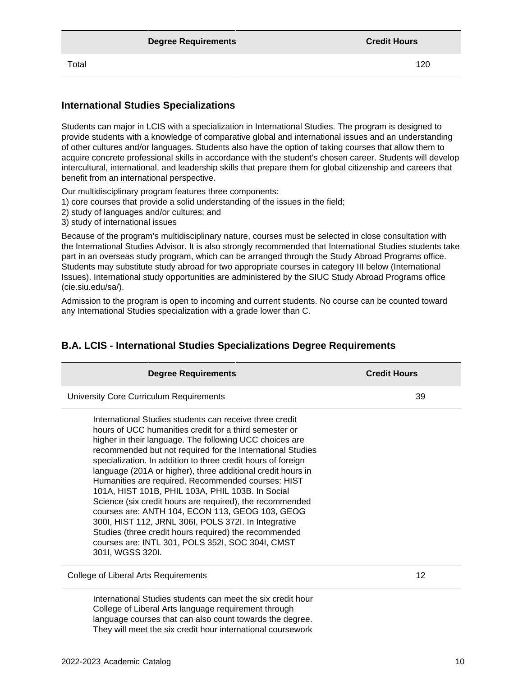Total 120

### **International Studies Specializations**

Students can major in LCIS with a specialization in International Studies. The program is designed to provide students with a knowledge of comparative global and international issues and an understanding of other cultures and/or languages. Students also have the option of taking courses that allow them to acquire concrete professional skills in accordance with the student's chosen career. Students will develop intercultural, international, and leadership skills that prepare them for global citizenship and careers that benefit from an international perspective.

Our multidisciplinary program features three components:

- 1) core courses that provide a solid understanding of the issues in the field;
- 2) study of languages and/or cultures; and
- 3) study of international issues

Because of the program's multidisciplinary nature, courses must be selected in close consultation with the International Studies Advisor. It is also strongly recommended that International Studies students take part in an overseas study program, which can be arranged through the Study Abroad Programs office. Students may substitute study abroad for two appropriate courses in category III below (International Issues). International study opportunities are administered by the SIUC Study Abroad Programs office (cie.siu.edu/sa/).

Admission to the program is open to incoming and current students. No course can be counted toward any International Studies specialization with a grade lower than C.

| <b>Degree Requirements</b>                                                                                                                                                                                                                                                                                                                                                                                                                                                                                                                                                                                                                                                                                                                                                                  | <b>Credit Hours</b> |
|---------------------------------------------------------------------------------------------------------------------------------------------------------------------------------------------------------------------------------------------------------------------------------------------------------------------------------------------------------------------------------------------------------------------------------------------------------------------------------------------------------------------------------------------------------------------------------------------------------------------------------------------------------------------------------------------------------------------------------------------------------------------------------------------|---------------------|
| University Core Curriculum Requirements                                                                                                                                                                                                                                                                                                                                                                                                                                                                                                                                                                                                                                                                                                                                                     | 39                  |
| International Studies students can receive three credit<br>hours of UCC humanities credit for a third semester or<br>higher in their language. The following UCC choices are<br>recommended but not required for the International Studies<br>specialization. In addition to three credit hours of foreign<br>language (201A or higher), three additional credit hours in<br>Humanities are required. Recommended courses: HIST<br>101A, HIST 101B, PHIL 103A, PHIL 103B. In Social<br>Science (six credit hours are required), the recommended<br>courses are: ANTH 104, ECON 113, GEOG 103, GEOG<br>300I, HIST 112, JRNL 306I, POLS 372I. In Integrative<br>Studies (three credit hours required) the recommended<br>courses are: INTL 301, POLS 352I, SOC 304I, CMST<br>301I, WGSS 320I. |                     |
| College of Liberal Arts Requirements                                                                                                                                                                                                                                                                                                                                                                                                                                                                                                                                                                                                                                                                                                                                                        | 12                  |
| International Studies students can meet the six credit hour<br>College of Liberal Arts language requirement through<br>language courses that can also count towards the degree.<br>They will meet the six credit hour international coursework                                                                                                                                                                                                                                                                                                                                                                                                                                                                                                                                              |                     |

### **B.A. LCIS - International Studies Specializations Degree Requirements**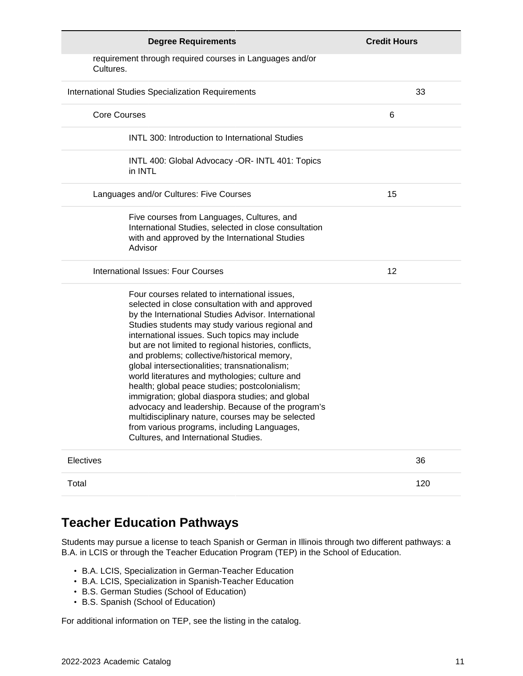| <b>Degree Requirements</b>                                                                                                                                                                                                                                                                                                                                                                                                                                                                                                                                                                                                                                                                                                                                                     | <b>Credit Hours</b> |
|--------------------------------------------------------------------------------------------------------------------------------------------------------------------------------------------------------------------------------------------------------------------------------------------------------------------------------------------------------------------------------------------------------------------------------------------------------------------------------------------------------------------------------------------------------------------------------------------------------------------------------------------------------------------------------------------------------------------------------------------------------------------------------|---------------------|
| requirement through required courses in Languages and/or<br>Cultures.                                                                                                                                                                                                                                                                                                                                                                                                                                                                                                                                                                                                                                                                                                          |                     |
| <b>International Studies Specialization Requirements</b>                                                                                                                                                                                                                                                                                                                                                                                                                                                                                                                                                                                                                                                                                                                       | 33                  |
| <b>Core Courses</b>                                                                                                                                                                                                                                                                                                                                                                                                                                                                                                                                                                                                                                                                                                                                                            | 6                   |
| <b>INTL 300: Introduction to International Studies</b>                                                                                                                                                                                                                                                                                                                                                                                                                                                                                                                                                                                                                                                                                                                         |                     |
| INTL 400: Global Advocacy -OR- INTL 401: Topics<br>in INTL                                                                                                                                                                                                                                                                                                                                                                                                                                                                                                                                                                                                                                                                                                                     |                     |
| Languages and/or Cultures: Five Courses                                                                                                                                                                                                                                                                                                                                                                                                                                                                                                                                                                                                                                                                                                                                        | 15                  |
| Five courses from Languages, Cultures, and<br>International Studies, selected in close consultation<br>with and approved by the International Studies<br>Advisor                                                                                                                                                                                                                                                                                                                                                                                                                                                                                                                                                                                                               |                     |
| <b>International Issues: Four Courses</b>                                                                                                                                                                                                                                                                                                                                                                                                                                                                                                                                                                                                                                                                                                                                      | 12                  |
| Four courses related to international issues,<br>selected in close consultation with and approved<br>by the International Studies Advisor. International<br>Studies students may study various regional and<br>international issues. Such topics may include<br>but are not limited to regional histories, conflicts,<br>and problems; collective/historical memory,<br>global intersectionalities; transnationalism;<br>world literatures and mythologies; culture and<br>health; global peace studies; postcolonialism;<br>immigration; global diaspora studies; and global<br>advocacy and leadership. Because of the program's<br>multidisciplinary nature, courses may be selected<br>from various programs, including Languages,<br>Cultures, and International Studies. |                     |
| Electives                                                                                                                                                                                                                                                                                                                                                                                                                                                                                                                                                                                                                                                                                                                                                                      | 36                  |
| Total                                                                                                                                                                                                                                                                                                                                                                                                                                                                                                                                                                                                                                                                                                                                                                          | 120                 |

# **Teacher Education Pathways**

Students may pursue a license to teach Spanish or German in Illinois through two different pathways: a B.A. in LCIS or through the Teacher Education Program (TEP) in the School of Education.

- B.A. LCIS, Specialization in German-Teacher Education
- B.A. LCIS, Specialization in Spanish-Teacher Education
- B.S. German Studies (School of Education)
- B.S. Spanish (School of Education)

For additional information on TEP, see the listing in the catalog.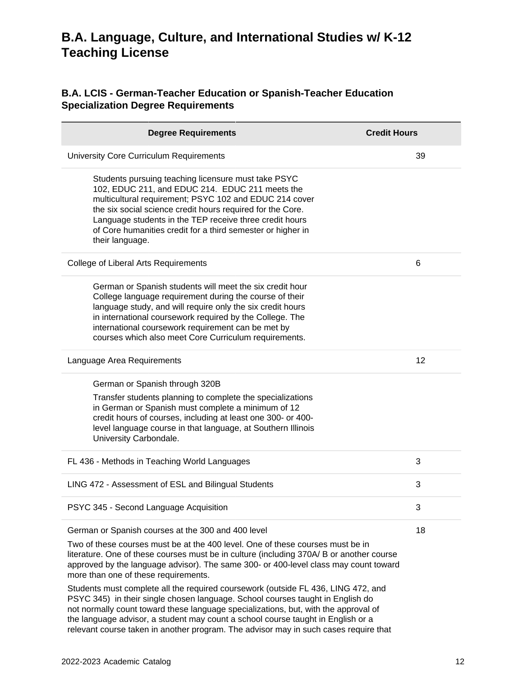# **B.A. Language, Culture, and International Studies w/ K-12 Teaching License**

### **B.A. LCIS - German-Teacher Education or Spanish-Teacher Education Specialization Degree Requirements**

| <b>Degree Requirements</b>                                                                                                                                                                                                                                                                                                                                                                                                                                                                                                                                                                                                                                                                                        | <b>Credit Hours</b> |
|-------------------------------------------------------------------------------------------------------------------------------------------------------------------------------------------------------------------------------------------------------------------------------------------------------------------------------------------------------------------------------------------------------------------------------------------------------------------------------------------------------------------------------------------------------------------------------------------------------------------------------------------------------------------------------------------------------------------|---------------------|
| University Core Curriculum Requirements                                                                                                                                                                                                                                                                                                                                                                                                                                                                                                                                                                                                                                                                           | 39                  |
| Students pursuing teaching licensure must take PSYC<br>102, EDUC 211, and EDUC 214. EDUC 211 meets the<br>multicultural requirement; PSYC 102 and EDUC 214 cover<br>the six social science credit hours required for the Core.<br>Language students in the TEP receive three credit hours<br>of Core humanities credit for a third semester or higher in<br>their language.                                                                                                                                                                                                                                                                                                                                       |                     |
| College of Liberal Arts Requirements                                                                                                                                                                                                                                                                                                                                                                                                                                                                                                                                                                                                                                                                              | 6                   |
| German or Spanish students will meet the six credit hour<br>College language requirement during the course of their<br>language study, and will require only the six credit hours<br>in international coursework required by the College. The<br>international coursework requirement can be met by<br>courses which also meet Core Curriculum requirements.                                                                                                                                                                                                                                                                                                                                                      |                     |
| Language Area Requirements                                                                                                                                                                                                                                                                                                                                                                                                                                                                                                                                                                                                                                                                                        | 12                  |
| German or Spanish through 320B<br>Transfer students planning to complete the specializations<br>in German or Spanish must complete a minimum of 12<br>credit hours of courses, including at least one 300- or 400-<br>level language course in that language, at Southern Illinois<br>University Carbondale.                                                                                                                                                                                                                                                                                                                                                                                                      |                     |
| FL 436 - Methods in Teaching World Languages                                                                                                                                                                                                                                                                                                                                                                                                                                                                                                                                                                                                                                                                      | 3                   |
| LING 472 - Assessment of ESL and Bilingual Students                                                                                                                                                                                                                                                                                                                                                                                                                                                                                                                                                                                                                                                               | 3                   |
| PSYC 345 - Second Language Acquisition                                                                                                                                                                                                                                                                                                                                                                                                                                                                                                                                                                                                                                                                            | 3                   |
| German or Spanish courses at the 300 and 400 level<br>Two of these courses must be at the 400 level. One of these courses must be in<br>literature. One of these courses must be in culture (including 370A/B or another course<br>approved by the language advisor). The same 300- or 400-level class may count toward<br>more than one of these requirements.<br>Students must complete all the required coursework (outside FL 436, LING 472, and<br>PSYC 345) in their single chosen language. School courses taught in English do<br>not normally count toward these language specializations, but, with the approval of<br>the language advisor, a student may count a school course taught in English or a | 18                  |

relevant course taken in another program. The advisor may in such cases require that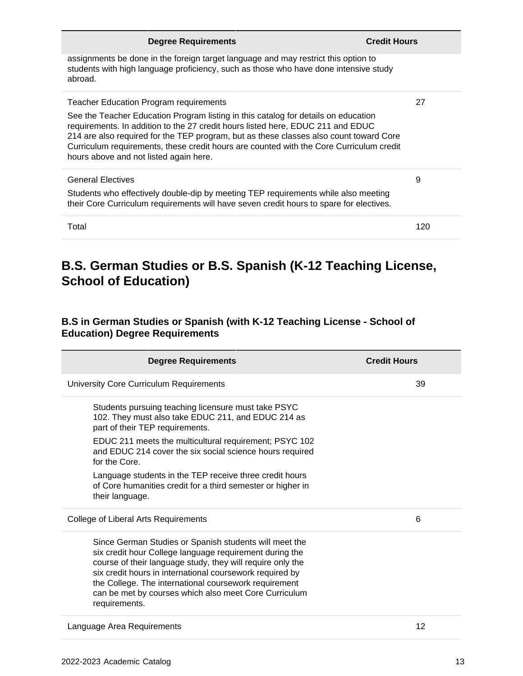| <b>Degree Requirements</b>                                                                                                                                                                                                                                                                                                                                                                           | <b>Credit Hours</b> |
|------------------------------------------------------------------------------------------------------------------------------------------------------------------------------------------------------------------------------------------------------------------------------------------------------------------------------------------------------------------------------------------------------|---------------------|
| assignments be done in the foreign target language and may restrict this option to<br>students with high language proficiency, such as those who have done intensive study<br>abroad.                                                                                                                                                                                                                |                     |
| <b>Teacher Education Program requirements</b>                                                                                                                                                                                                                                                                                                                                                        | 27                  |
| See the Teacher Education Program listing in this catalog for details on education<br>requirements. In addition to the 27 credit hours listed here, EDUC 211 and EDUC<br>214 are also required for the TEP program, but as these classes also count toward Core<br>Curriculum requirements, these credit hours are counted with the Core Curriculum credit<br>hours above and not listed again here. |                     |
| <b>General Electives</b>                                                                                                                                                                                                                                                                                                                                                                             | 9                   |
| Students who effectively double-dip by meeting TEP requirements while also meeting<br>their Core Curriculum requirements will have seven credit hours to spare for electives.                                                                                                                                                                                                                        |                     |
| Total                                                                                                                                                                                                                                                                                                                                                                                                | 120                 |

# **B.S. German Studies or B.S. Spanish (K-12 Teaching License, School of Education)**

### **B.S in German Studies or Spanish (with K-12 Teaching License - School of Education) Degree Requirements**

| <b>Degree Requirements</b>                                                                                                                                                                                                                                                                                                                                                     | <b>Credit Hours</b> |
|--------------------------------------------------------------------------------------------------------------------------------------------------------------------------------------------------------------------------------------------------------------------------------------------------------------------------------------------------------------------------------|---------------------|
| <b>University Core Curriculum Requirements</b>                                                                                                                                                                                                                                                                                                                                 | 39                  |
| Students pursuing teaching licensure must take PSYC<br>102. They must also take EDUC 211, and EDUC 214 as<br>part of their TEP requirements.                                                                                                                                                                                                                                   |                     |
| EDUC 211 meets the multicultural requirement; PSYC 102<br>and EDUC 214 cover the six social science hours required<br>for the Core.                                                                                                                                                                                                                                            |                     |
| Language students in the TEP receive three credit hours<br>of Core humanities credit for a third semester or higher in<br>their language.                                                                                                                                                                                                                                      |                     |
| College of Liberal Arts Requirements                                                                                                                                                                                                                                                                                                                                           | 6                   |
| Since German Studies or Spanish students will meet the<br>six credit hour College language requirement during the<br>course of their language study, they will require only the<br>six credit hours in international coursework required by<br>the College. The international coursework requirement<br>can be met by courses which also meet Core Curriculum<br>requirements. |                     |
| Language Area Requirements                                                                                                                                                                                                                                                                                                                                                     | 12                  |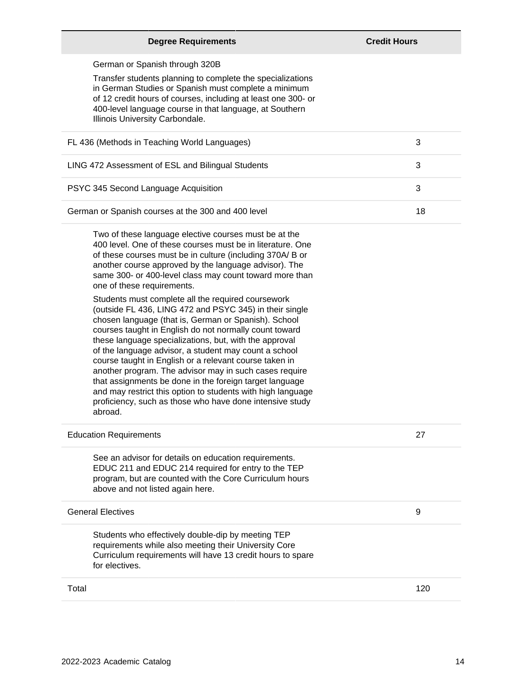| <b>Degree Requirements</b>                                                                                                                                                                                                                                                                                                                                                                                                                                                                                                                                                                                                                                                                                                                                                                                                                                                                                                                                                                                    | <b>Credit Hours</b> |
|---------------------------------------------------------------------------------------------------------------------------------------------------------------------------------------------------------------------------------------------------------------------------------------------------------------------------------------------------------------------------------------------------------------------------------------------------------------------------------------------------------------------------------------------------------------------------------------------------------------------------------------------------------------------------------------------------------------------------------------------------------------------------------------------------------------------------------------------------------------------------------------------------------------------------------------------------------------------------------------------------------------|---------------------|
| German or Spanish through 320B<br>Transfer students planning to complete the specializations<br>in German Studies or Spanish must complete a minimum<br>of 12 credit hours of courses, including at least one 300- or<br>400-level language course in that language, at Southern<br>Illinois University Carbondale.                                                                                                                                                                                                                                                                                                                                                                                                                                                                                                                                                                                                                                                                                           |                     |
| FL 436 (Methods in Teaching World Languages)                                                                                                                                                                                                                                                                                                                                                                                                                                                                                                                                                                                                                                                                                                                                                                                                                                                                                                                                                                  | 3                   |
| LING 472 Assessment of ESL and Bilingual Students                                                                                                                                                                                                                                                                                                                                                                                                                                                                                                                                                                                                                                                                                                                                                                                                                                                                                                                                                             | 3                   |
| PSYC 345 Second Language Acquisition                                                                                                                                                                                                                                                                                                                                                                                                                                                                                                                                                                                                                                                                                                                                                                                                                                                                                                                                                                          | 3                   |
| German or Spanish courses at the 300 and 400 level                                                                                                                                                                                                                                                                                                                                                                                                                                                                                                                                                                                                                                                                                                                                                                                                                                                                                                                                                            | 18                  |
| Two of these language elective courses must be at the<br>400 level. One of these courses must be in literature. One<br>of these courses must be in culture (including 370A/ B or<br>another course approved by the language advisor). The<br>same 300- or 400-level class may count toward more than<br>one of these requirements.<br>Students must complete all the required coursework<br>(outside FL 436, LING 472 and PSYC 345) in their single<br>chosen language (that is, German or Spanish). School<br>courses taught in English do not normally count toward<br>these language specializations, but, with the approval<br>of the language advisor, a student may count a school<br>course taught in English or a relevant course taken in<br>another program. The advisor may in such cases require<br>that assignments be done in the foreign target language<br>and may restrict this option to students with high language<br>proficiency, such as those who have done intensive study<br>abroad. |                     |
| <b>Education Requirements</b>                                                                                                                                                                                                                                                                                                                                                                                                                                                                                                                                                                                                                                                                                                                                                                                                                                                                                                                                                                                 | 27                  |
| See an advisor for details on education requirements.<br>EDUC 211 and EDUC 214 required for entry to the TEP<br>program, but are counted with the Core Curriculum hours<br>above and not listed again here.                                                                                                                                                                                                                                                                                                                                                                                                                                                                                                                                                                                                                                                                                                                                                                                                   |                     |
| <b>General Electives</b>                                                                                                                                                                                                                                                                                                                                                                                                                                                                                                                                                                                                                                                                                                                                                                                                                                                                                                                                                                                      | 9                   |
| Students who effectively double-dip by meeting TEP<br>requirements while also meeting their University Core<br>Curriculum requirements will have 13 credit hours to spare<br>for electives.                                                                                                                                                                                                                                                                                                                                                                                                                                                                                                                                                                                                                                                                                                                                                                                                                   |                     |
| Total                                                                                                                                                                                                                                                                                                                                                                                                                                                                                                                                                                                                                                                                                                                                                                                                                                                                                                                                                                                                         | 120                 |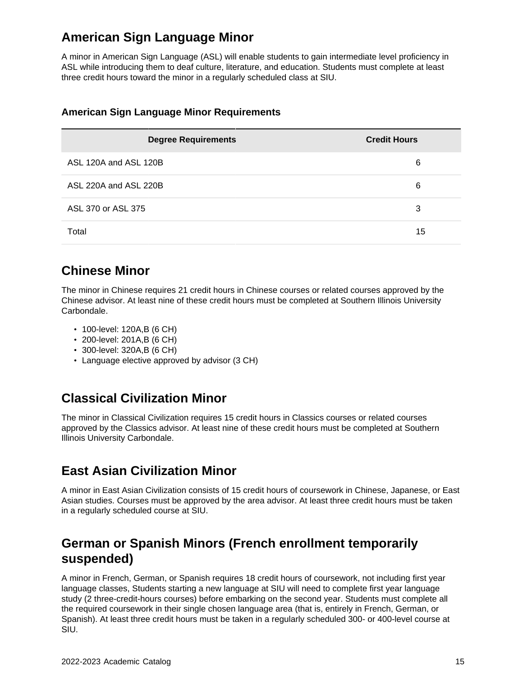# **American Sign Language Minor**

A minor in American Sign Language (ASL) will enable students to gain intermediate level proficiency in ASL while introducing them to deaf culture, literature, and education. Students must complete at least three credit hours toward the minor in a regularly scheduled class at SIU.

### **American Sign Language Minor Requirements**

| <b>Degree Requirements</b> | <b>Credit Hours</b> |
|----------------------------|---------------------|
| ASL 120A and ASL 120B      | 6                   |
| ASL 220A and ASL 220B      | 6                   |
| ASL 370 or ASL 375         | 3                   |
| Total                      | 15                  |

# **Chinese Minor**

The minor in Chinese requires 21 credit hours in Chinese courses or related courses approved by the Chinese advisor. At least nine of these credit hours must be completed at Southern Illinois University Carbondale.

- 100-level: 120A,B (6 CH)
- 200-level: 201A,B (6 CH)
- 300-level: 320A,B (6 CH)
- Language elective approved by advisor (3 CH)

# **Classical Civilization Minor**

The minor in Classical Civilization requires 15 credit hours in Classics courses or related courses approved by the Classics advisor. At least nine of these credit hours must be completed at Southern Illinois University Carbondale.

## **East Asian Civilization Minor**

A minor in East Asian Civilization consists of 15 credit hours of coursework in Chinese, Japanese, or East Asian studies. Courses must be approved by the area advisor. At least three credit hours must be taken in a regularly scheduled course at SIU.

# **German or Spanish Minors (French enrollment temporarily suspended)**

A minor in French, German, or Spanish requires 18 credit hours of coursework, not including first year language classes, Students starting a new language at SIU will need to complete first year language study (2 three-credit-hours courses) before embarking on the second year. Students must complete all the required coursework in their single chosen language area (that is, entirely in French, German, or Spanish). At least three credit hours must be taken in a regularly scheduled 300- or 400-level course at SIU.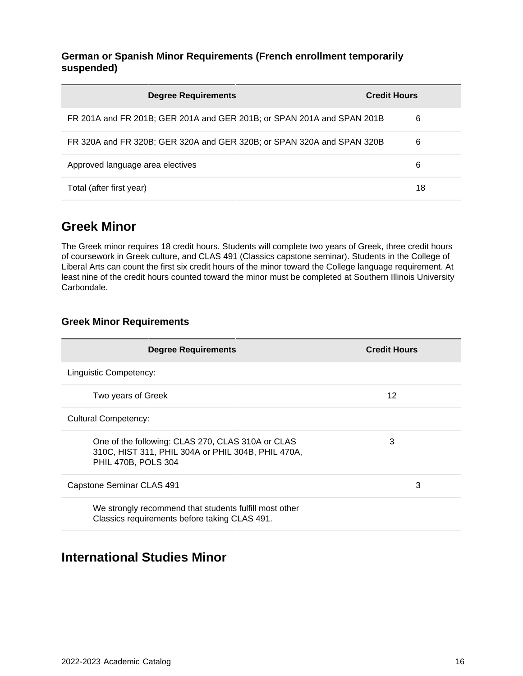### **German or Spanish Minor Requirements (French enrollment temporarily suspended)**

| <b>Degree Requirements</b>                                             | <b>Credit Hours</b> |
|------------------------------------------------------------------------|---------------------|
| FR 201A and FR 201B; GER 201A and GER 201B; or SPAN 201A and SPAN 201B | 6                   |
| FR 320A and FR 320B; GER 320A and GER 320B; or SPAN 320A and SPAN 320B | 6                   |
| Approved language area electives                                       | 6                   |
| Total (after first year)                                               | 18                  |

## **Greek Minor**

The Greek minor requires 18 credit hours. Students will complete two years of Greek, three credit hours of coursework in Greek culture, and CLAS 491 (Classics capstone seminar). Students in the College of Liberal Arts can count the first six credit hours of the minor toward the College language requirement. At least nine of the credit hours counted toward the minor must be completed at Southern Illinois University Carbondale.

### **Greek Minor Requirements**

| <b>Degree Requirements</b>                                                                                                     | <b>Credit Hours</b> |
|--------------------------------------------------------------------------------------------------------------------------------|---------------------|
| Linguistic Competency:                                                                                                         |                     |
| Two years of Greek                                                                                                             | 12                  |
| <b>Cultural Competency:</b>                                                                                                    |                     |
| One of the following: CLAS 270, CLAS 310A or CLAS<br>310C, HIST 311, PHIL 304A or PHIL 304B, PHIL 470A,<br>PHIL 470B, POLS 304 | 3                   |
| Capstone Seminar CLAS 491                                                                                                      | 3                   |
| We strongly recommend that students fulfill most other<br>Classics requirements before taking CLAS 491.                        |                     |

## **International Studies Minor**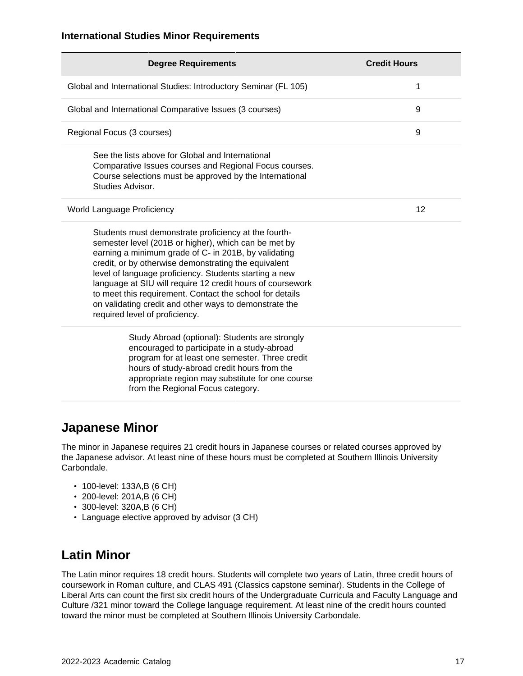#### **International Studies Minor Requirements**

| <b>Degree Requirements</b>                                                                                                                                                                                                                                                                                                                                                                                                                                                                                   | <b>Credit Hours</b> |
|--------------------------------------------------------------------------------------------------------------------------------------------------------------------------------------------------------------------------------------------------------------------------------------------------------------------------------------------------------------------------------------------------------------------------------------------------------------------------------------------------------------|---------------------|
| Global and International Studies: Introductory Seminar (FL 105)                                                                                                                                                                                                                                                                                                                                                                                                                                              | 1                   |
| Global and International Comparative Issues (3 courses)                                                                                                                                                                                                                                                                                                                                                                                                                                                      | 9                   |
| Regional Focus (3 courses)                                                                                                                                                                                                                                                                                                                                                                                                                                                                                   | 9                   |
| See the lists above for Global and International<br>Comparative Issues courses and Regional Focus courses.<br>Course selections must be approved by the International<br>Studies Advisor.                                                                                                                                                                                                                                                                                                                    |                     |
| World Language Proficiency                                                                                                                                                                                                                                                                                                                                                                                                                                                                                   | 12                  |
| Students must demonstrate proficiency at the fourth-<br>semester level (201B or higher), which can be met by<br>earning a minimum grade of C- in 201B, by validating<br>credit, or by otherwise demonstrating the equivalent<br>level of language proficiency. Students starting a new<br>language at SIU will require 12 credit hours of coursework<br>to meet this requirement. Contact the school for details<br>on validating credit and other ways to demonstrate the<br>required level of proficiency. |                     |
| Study Abroad (optional): Students are strongly<br>encouraged to participate in a study-abroad<br>program for at least one semester. Three credit<br>hours of study-abroad credit hours from the<br>appropriate region may substitute for one course<br>from the Regional Focus category.                                                                                                                                                                                                                     |                     |

### **Japanese Minor**

The minor in Japanese requires 21 credit hours in Japanese courses or related courses approved by the Japanese advisor. At least nine of these hours must be completed at Southern Illinois University Carbondale.

- 100-level: 133A,B (6 CH)
- 200-level: 201A,B (6 CH)
- 300-level: 320A,B (6 CH)
- Language elective approved by advisor (3 CH)

## **Latin Minor**

The Latin minor requires 18 credit hours. Students will complete two years of Latin, three credit hours of coursework in Roman culture, and CLAS 491 (Classics capstone seminar). Students in the College of Liberal Arts can count the first six credit hours of the Undergraduate Curricula and Faculty Language and Culture /321 minor toward the College language requirement. At least nine of the credit hours counted toward the minor must be completed at Southern Illinois University Carbondale.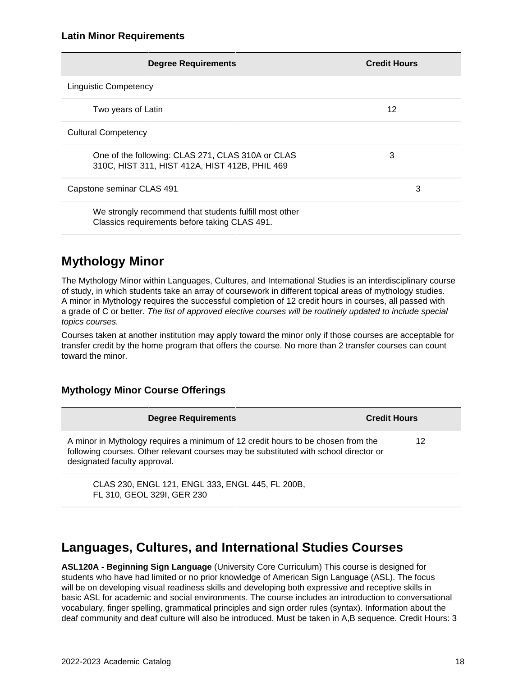| <b>Degree Requirements</b>                                                                              | <b>Credit Hours</b> |
|---------------------------------------------------------------------------------------------------------|---------------------|
| <b>Linguistic Competency</b>                                                                            |                     |
| Two years of Latin                                                                                      | 12                  |
| <b>Cultural Competency</b>                                                                              |                     |
| One of the following: CLAS 271, CLAS 310A or CLAS<br>310C, HIST 311, HIST 412A, HIST 412B, PHIL 469     | 3                   |
| Capstone seminar CLAS 491                                                                               | 3                   |
| We strongly recommend that students fulfill most other<br>Classics requirements before taking CLAS 491. |                     |

# **Mythology Minor**

The Mythology Minor within Languages, Cultures, and International Studies is an interdisciplinary course of study, in which students take an array of coursework in different topical areas of mythology studies. A minor in Mythology requires the successful completion of 12 credit hours in courses, all passed with a grade of C or better. The list of approved elective courses will be routinely updated to include special topics courses.

Courses taken at another institution may apply toward the minor only if those courses are acceptable for transfer credit by the home program that offers the course. No more than 2 transfer courses can count toward the minor.

### **Mythology Minor Course Offerings**

| <b>Degree Requirements</b>                                                                                                                                                                               | <b>Credit Hours</b> |
|----------------------------------------------------------------------------------------------------------------------------------------------------------------------------------------------------------|---------------------|
| A minor in Mythology requires a minimum of 12 credit hours to be chosen from the<br>following courses. Other relevant courses may be substituted with school director or<br>designated faculty approval. | 12                  |
| CLAS 230, ENGL 121, ENGL 333, ENGL 445, FL 200B,<br>FL 310, GEOL 329I, GER 230                                                                                                                           |                     |

# **Languages, Cultures, and International Studies Courses**

**ASL120A - Beginning Sign Language** (University Core Curriculum) This course is designed for students who have had limited or no prior knowledge of American Sign Language (ASL). The focus will be on developing visual readiness skills and developing both expressive and receptive skills in basic ASL for academic and social environments. The course includes an introduction to conversational vocabulary, finger spelling, grammatical principles and sign order rules (syntax). Information about the deaf community and deaf culture will also be introduced. Must be taken in A,B sequence. Credit Hours: 3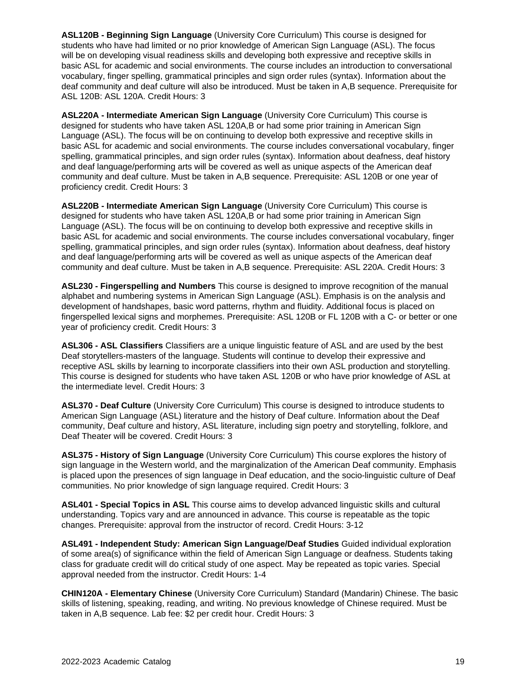**ASL120B - Beginning Sign Language** (University Core Curriculum) This course is designed for students who have had limited or no prior knowledge of American Sign Language (ASL). The focus will be on developing visual readiness skills and developing both expressive and receptive skills in basic ASL for academic and social environments. The course includes an introduction to conversational vocabulary, finger spelling, grammatical principles and sign order rules (syntax). Information about the deaf community and deaf culture will also be introduced. Must be taken in A,B sequence. Prerequisite for ASL 120B: ASL 120A. Credit Hours: 3

**ASL220A - Intermediate American Sign Language** (University Core Curriculum) This course is designed for students who have taken ASL 120A,B or had some prior training in American Sign Language (ASL). The focus will be on continuing to develop both expressive and receptive skills in basic ASL for academic and social environments. The course includes conversational vocabulary, finger spelling, grammatical principles, and sign order rules (syntax). Information about deafness, deaf history and deaf language/performing arts will be covered as well as unique aspects of the American deaf community and deaf culture. Must be taken in A,B sequence. Prerequisite: ASL 120B or one year of proficiency credit. Credit Hours: 3

**ASL220B - Intermediate American Sign Language** (University Core Curriculum) This course is designed for students who have taken ASL 120A,B or had some prior training in American Sign Language (ASL). The focus will be on continuing to develop both expressive and receptive skills in basic ASL for academic and social environments. The course includes conversational vocabulary, finger spelling, grammatical principles, and sign order rules (syntax). Information about deafness, deaf history and deaf language/performing arts will be covered as well as unique aspects of the American deaf community and deaf culture. Must be taken in A,B sequence. Prerequisite: ASL 220A. Credit Hours: 3

**ASL230 - Fingerspelling and Numbers** This course is designed to improve recognition of the manual alphabet and numbering systems in American Sign Language (ASL). Emphasis is on the analysis and development of handshapes, basic word patterns, rhythm and fluidity. Additional focus is placed on fingerspelled lexical signs and morphemes. Prerequisite: ASL 120B or FL 120B with a C- or better or one year of proficiency credit. Credit Hours: 3

**ASL306 - ASL Classifiers** Classifiers are a unique linguistic feature of ASL and are used by the best Deaf storytellers-masters of the language. Students will continue to develop their expressive and receptive ASL skills by learning to incorporate classifiers into their own ASL production and storytelling. This course is designed for students who have taken ASL 120B or who have prior knowledge of ASL at the intermediate level. Credit Hours: 3

**ASL370 - Deaf Culture** (University Core Curriculum) This course is designed to introduce students to American Sign Language (ASL) literature and the history of Deaf culture. Information about the Deaf community, Deaf culture and history, ASL literature, including sign poetry and storytelling, folklore, and Deaf Theater will be covered. Credit Hours: 3

**ASL375 - History of Sign Language** (University Core Curriculum) This course explores the history of sign language in the Western world, and the marginalization of the American Deaf community. Emphasis is placed upon the presences of sign language in Deaf education, and the socio-linguistic culture of Deaf communities. No prior knowledge of sign language required. Credit Hours: 3

**ASL401 - Special Topics in ASL** This course aims to develop advanced linguistic skills and cultural understanding. Topics vary and are announced in advance. This course is repeatable as the topic changes. Prerequisite: approval from the instructor of record. Credit Hours: 3-12

**ASL491 - Independent Study: American Sign Language/Deaf Studies** Guided individual exploration of some area(s) of significance within the field of American Sign Language or deafness. Students taking class for graduate credit will do critical study of one aspect. May be repeated as topic varies. Special approval needed from the instructor. Credit Hours: 1-4

**CHIN120A - Elementary Chinese** (University Core Curriculum) Standard (Mandarin) Chinese. The basic skills of listening, speaking, reading, and writing. No previous knowledge of Chinese required. Must be taken in A,B sequence. Lab fee: \$2 per credit hour. Credit Hours: 3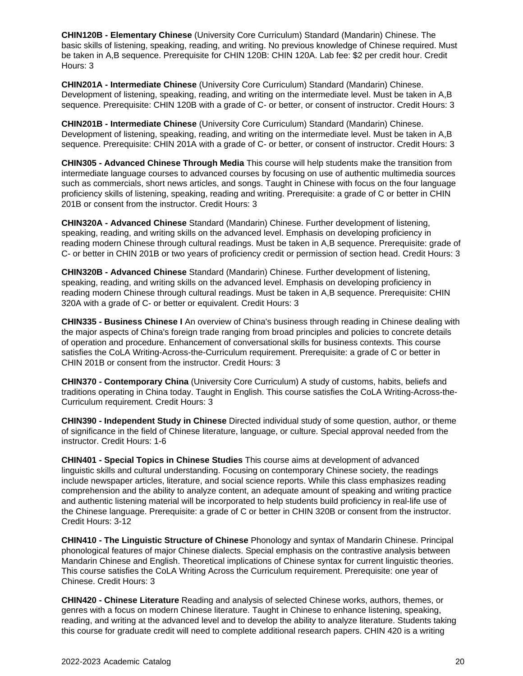**CHIN120B - Elementary Chinese** (University Core Curriculum) Standard (Mandarin) Chinese. The basic skills of listening, speaking, reading, and writing. No previous knowledge of Chinese required. Must be taken in A,B sequence. Prerequisite for CHIN 120B: CHIN 120A. Lab fee: \$2 per credit hour. Credit Hours: 3

**CHIN201A - Intermediate Chinese** (University Core Curriculum) Standard (Mandarin) Chinese. Development of listening, speaking, reading, and writing on the intermediate level. Must be taken in A,B sequence. Prerequisite: CHIN 120B with a grade of C- or better, or consent of instructor. Credit Hours: 3

**CHIN201B - Intermediate Chinese** (University Core Curriculum) Standard (Mandarin) Chinese. Development of listening, speaking, reading, and writing on the intermediate level. Must be taken in A,B sequence. Prerequisite: CHIN 201A with a grade of C- or better, or consent of instructor. Credit Hours: 3

**CHIN305 - Advanced Chinese Through Media** This course will help students make the transition from intermediate language courses to advanced courses by focusing on use of authentic multimedia sources such as commercials, short news articles, and songs. Taught in Chinese with focus on the four language proficiency skills of listening, speaking, reading and writing. Prerequisite: a grade of C or better in CHIN 201B or consent from the instructor. Credit Hours: 3

**CHIN320A - Advanced Chinese** Standard (Mandarin) Chinese. Further development of listening, speaking, reading, and writing skills on the advanced level. Emphasis on developing proficiency in reading modern Chinese through cultural readings. Must be taken in A,B sequence. Prerequisite: grade of C- or better in CHIN 201B or two years of proficiency credit or permission of section head. Credit Hours: 3

**CHIN320B - Advanced Chinese** Standard (Mandarin) Chinese. Further development of listening, speaking, reading, and writing skills on the advanced level. Emphasis on developing proficiency in reading modern Chinese through cultural readings. Must be taken in A,B sequence. Prerequisite: CHIN 320A with a grade of C- or better or equivalent. Credit Hours: 3

**CHIN335 - Business Chinese I** An overview of China's business through reading in Chinese dealing with the major aspects of China's foreign trade ranging from broad principles and policies to concrete details of operation and procedure. Enhancement of conversational skills for business contexts. This course satisfies the CoLA Writing-Across-the-Curriculum requirement. Prerequisite: a grade of C or better in CHIN 201B or consent from the instructor. Credit Hours: 3

**CHIN370 - Contemporary China** (University Core Curriculum) A study of customs, habits, beliefs and traditions operating in China today. Taught in English. This course satisfies the CoLA Writing-Across-the-Curriculum requirement. Credit Hours: 3

**CHIN390 - Independent Study in Chinese** Directed individual study of some question, author, or theme of significance in the field of Chinese literature, language, or culture. Special approval needed from the instructor. Credit Hours: 1-6

**CHIN401 - Special Topics in Chinese Studies** This course aims at development of advanced linguistic skills and cultural understanding. Focusing on contemporary Chinese society, the readings include newspaper articles, literature, and social science reports. While this class emphasizes reading comprehension and the ability to analyze content, an adequate amount of speaking and writing practice and authentic listening material will be incorporated to help students build proficiency in real-life use of the Chinese language. Prerequisite: a grade of C or better in CHIN 320B or consent from the instructor. Credit Hours: 3-12

**CHIN410 - The Linguistic Structure of Chinese** Phonology and syntax of Mandarin Chinese. Principal phonological features of major Chinese dialects. Special emphasis on the contrastive analysis between Mandarin Chinese and English. Theoretical implications of Chinese syntax for current linguistic theories. This course satisfies the CoLA Writing Across the Curriculum requirement. Prerequisite: one year of Chinese. Credit Hours: 3

**CHIN420 - Chinese Literature** Reading and analysis of selected Chinese works, authors, themes, or genres with a focus on modern Chinese literature. Taught in Chinese to enhance listening, speaking, reading, and writing at the advanced level and to develop the ability to analyze literature. Students taking this course for graduate credit will need to complete additional research papers. CHIN 420 is a writing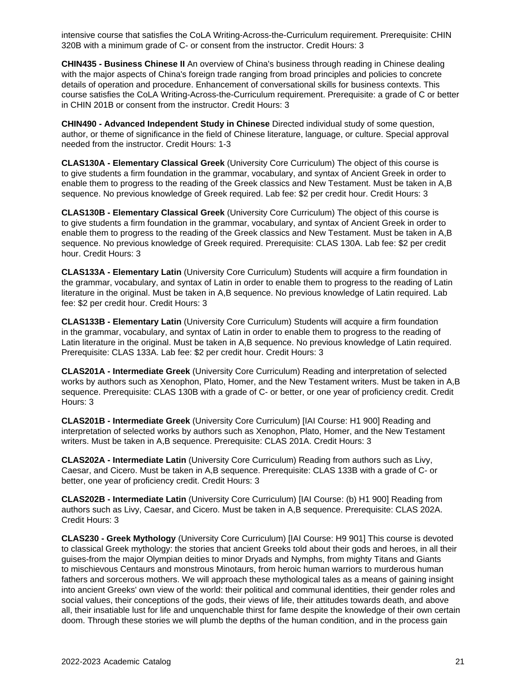intensive course that satisfies the CoLA Writing-Across-the-Curriculum requirement. Prerequisite: CHIN 320B with a minimum grade of C- or consent from the instructor. Credit Hours: 3

**CHIN435 - Business Chinese II** An overview of China's business through reading in Chinese dealing with the major aspects of China's foreign trade ranging from broad principles and policies to concrete details of operation and procedure. Enhancement of conversational skills for business contexts. This course satisfies the CoLA Writing-Across-the-Curriculum requirement. Prerequisite: a grade of C or better in CHIN 201B or consent from the instructor. Credit Hours: 3

**CHIN490 - Advanced Independent Study in Chinese** Directed individual study of some question, author, or theme of significance in the field of Chinese literature, language, or culture. Special approval needed from the instructor. Credit Hours: 1-3

**CLAS130A - Elementary Classical Greek** (University Core Curriculum) The object of this course is to give students a firm foundation in the grammar, vocabulary, and syntax of Ancient Greek in order to enable them to progress to the reading of the Greek classics and New Testament. Must be taken in A,B sequence. No previous knowledge of Greek required. Lab fee: \$2 per credit hour. Credit Hours: 3

**CLAS130B - Elementary Classical Greek** (University Core Curriculum) The object of this course is to give students a firm foundation in the grammar, vocabulary, and syntax of Ancient Greek in order to enable them to progress to the reading of the Greek classics and New Testament. Must be taken in A,B sequence. No previous knowledge of Greek required. Prerequisite: CLAS 130A. Lab fee: \$2 per credit hour. Credit Hours: 3

**CLAS133A - Elementary Latin** (University Core Curriculum) Students will acquire a firm foundation in the grammar, vocabulary, and syntax of Latin in order to enable them to progress to the reading of Latin literature in the original. Must be taken in A,B sequence. No previous knowledge of Latin required. Lab fee: \$2 per credit hour. Credit Hours: 3

**CLAS133B - Elementary Latin** (University Core Curriculum) Students will acquire a firm foundation in the grammar, vocabulary, and syntax of Latin in order to enable them to progress to the reading of Latin literature in the original. Must be taken in A,B sequence. No previous knowledge of Latin required. Prerequisite: CLAS 133A. Lab fee: \$2 per credit hour. Credit Hours: 3

**CLAS201A - Intermediate Greek** (University Core Curriculum) Reading and interpretation of selected works by authors such as Xenophon, Plato, Homer, and the New Testament writers. Must be taken in A,B sequence. Prerequisite: CLAS 130B with a grade of C- or better, or one year of proficiency credit. Credit Hours: 3

**CLAS201B - Intermediate Greek** (University Core Curriculum) [IAI Course: H1 900] Reading and interpretation of selected works by authors such as Xenophon, Plato, Homer, and the New Testament writers. Must be taken in A,B sequence. Prerequisite: CLAS 201A. Credit Hours: 3

**CLAS202A - Intermediate Latin** (University Core Curriculum) Reading from authors such as Livy, Caesar, and Cicero. Must be taken in A,B sequence. Prerequisite: CLAS 133B with a grade of C- or better, one year of proficiency credit. Credit Hours: 3

**CLAS202B - Intermediate Latin** (University Core Curriculum) [IAI Course: (b) H1 900] Reading from authors such as Livy, Caesar, and Cicero. Must be taken in A,B sequence. Prerequisite: CLAS 202A. Credit Hours: 3

**CLAS230 - Greek Mythology** (University Core Curriculum) [IAI Course: H9 901] This course is devoted to classical Greek mythology: the stories that ancient Greeks told about their gods and heroes, in all their guises-from the major Olympian deities to minor Dryads and Nymphs, from mighty Titans and Giants to mischievous Centaurs and monstrous Minotaurs, from heroic human warriors to murderous human fathers and sorcerous mothers. We will approach these mythological tales as a means of gaining insight into ancient Greeks' own view of the world: their political and communal identities, their gender roles and social values, their conceptions of the gods, their views of life, their attitudes towards death, and above all, their insatiable lust for life and unquenchable thirst for fame despite the knowledge of their own certain doom. Through these stories we will plumb the depths of the human condition, and in the process gain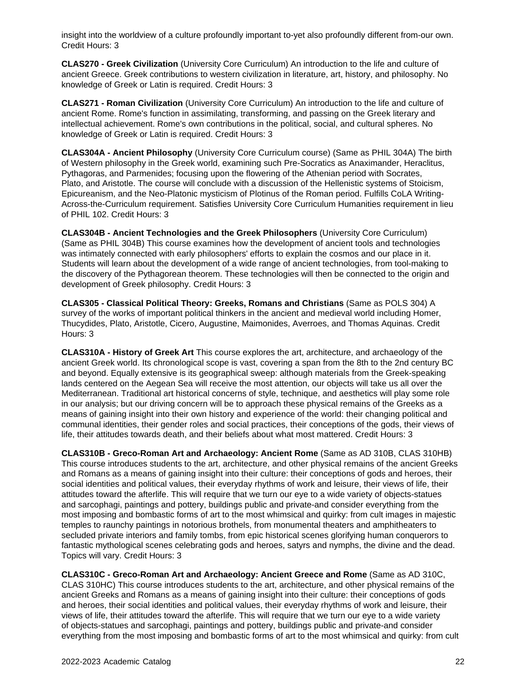insight into the worldview of a culture profoundly important to-yet also profoundly different from-our own. Credit Hours: 3

**CLAS270 - Greek Civilization** (University Core Curriculum) An introduction to the life and culture of ancient Greece. Greek contributions to western civilization in literature, art, history, and philosophy. No knowledge of Greek or Latin is required. Credit Hours: 3

**CLAS271 - Roman Civilization** (University Core Curriculum) An introduction to the life and culture of ancient Rome. Rome's function in assimilating, transforming, and passing on the Greek literary and intellectual achievement. Rome's own contributions in the political, social, and cultural spheres. No knowledge of Greek or Latin is required. Credit Hours: 3

**CLAS304A - Ancient Philosophy** (University Core Curriculum course) (Same as PHIL 304A) The birth of Western philosophy in the Greek world, examining such Pre-Socratics as Anaximander, Heraclitus, Pythagoras, and Parmenides; focusing upon the flowering of the Athenian period with Socrates, Plato, and Aristotle. The course will conclude with a discussion of the Hellenistic systems of Stoicism, Epicureanism, and the Neo-Platonic mysticism of Plotinus of the Roman period. Fulfills CoLA Writing-Across-the-Curriculum requirement. Satisfies University Core Curriculum Humanities requirement in lieu of PHIL 102. Credit Hours: 3

**CLAS304B - Ancient Technologies and the Greek Philosophers** (University Core Curriculum) (Same as PHIL 304B) This course examines how the development of ancient tools and technologies was intimately connected with early philosophers' efforts to explain the cosmos and our place in it. Students will learn about the development of a wide range of ancient technologies, from tool-making to the discovery of the Pythagorean theorem. These technologies will then be connected to the origin and development of Greek philosophy. Credit Hours: 3

**CLAS305 - Classical Political Theory: Greeks, Romans and Christians** (Same as POLS 304) A survey of the works of important political thinkers in the ancient and medieval world including Homer, Thucydides, Plato, Aristotle, Cicero, Augustine, Maimonides, Averroes, and Thomas Aquinas. Credit Hours: 3

**CLAS310A - History of Greek Art** This course explores the art, architecture, and archaeology of the ancient Greek world. Its chronological scope is vast, covering a span from the 8th to the 2nd century BC and beyond. Equally extensive is its geographical sweep: although materials from the Greek-speaking lands centered on the Aegean Sea will receive the most attention, our objects will take us all over the Mediterranean. Traditional art historical concerns of style, technique, and aesthetics will play some role in our analysis; but our driving concern will be to approach these physical remains of the Greeks as a means of gaining insight into their own history and experience of the world: their changing political and communal identities, their gender roles and social practices, their conceptions of the gods, their views of life, their attitudes towards death, and their beliefs about what most mattered. Credit Hours: 3

**CLAS310B - Greco-Roman Art and Archaeology: Ancient Rome** (Same as AD 310B, CLAS 310HB) This course introduces students to the art, architecture, and other physical remains of the ancient Greeks and Romans as a means of gaining insight into their culture: their conceptions of gods and heroes, their social identities and political values, their everyday rhythms of work and leisure, their views of life, their attitudes toward the afterlife. This will require that we turn our eye to a wide variety of objects-statues and sarcophagi, paintings and pottery, buildings public and private-and consider everything from the most imposing and bombastic forms of art to the most whimsical and quirky: from cult images in majestic temples to raunchy paintings in notorious brothels, from monumental theaters and amphitheaters to secluded private interiors and family tombs, from epic historical scenes glorifying human conquerors to fantastic mythological scenes celebrating gods and heroes, satyrs and nymphs, the divine and the dead. Topics will vary. Credit Hours: 3

**CLAS310C - Greco-Roman Art and Archaeology: Ancient Greece and Rome** (Same as AD 310C, CLAS 310HC) This course introduces students to the art, architecture, and other physical remains of the ancient Greeks and Romans as a means of gaining insight into their culture: their conceptions of gods and heroes, their social identities and political values, their everyday rhythms of work and leisure, their views of life, their attitudes toward the afterlife. This will require that we turn our eye to a wide variety of objects-statues and sarcophagi, paintings and pottery, buildings public and private-and consider everything from the most imposing and bombastic forms of art to the most whimsical and quirky: from cult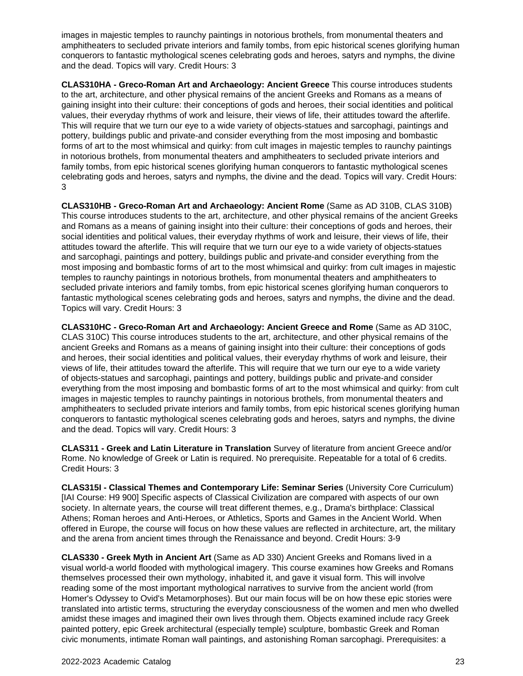images in majestic temples to raunchy paintings in notorious brothels, from monumental theaters and amphitheaters to secluded private interiors and family tombs, from epic historical scenes glorifying human conquerors to fantastic mythological scenes celebrating gods and heroes, satyrs and nymphs, the divine and the dead. Topics will vary. Credit Hours: 3

**CLAS310HA - Greco-Roman Art and Archaeology: Ancient Greece** This course introduces students to the art, architecture, and other physical remains of the ancient Greeks and Romans as a means of gaining insight into their culture: their conceptions of gods and heroes, their social identities and political values, their everyday rhythms of work and leisure, their views of life, their attitudes toward the afterlife. This will require that we turn our eye to a wide variety of objects-statues and sarcophagi, paintings and pottery, buildings public and private-and consider everything from the most imposing and bombastic forms of art to the most whimsical and quirky: from cult images in majestic temples to raunchy paintings in notorious brothels, from monumental theaters and amphitheaters to secluded private interiors and family tombs, from epic historical scenes glorifying human conquerors to fantastic mythological scenes celebrating gods and heroes, satyrs and nymphs, the divine and the dead. Topics will vary. Credit Hours: 3

**CLAS310HB - Greco-Roman Art and Archaeology: Ancient Rome** (Same as AD 310B, CLAS 310B) This course introduces students to the art, architecture, and other physical remains of the ancient Greeks and Romans as a means of gaining insight into their culture: their conceptions of gods and heroes, their social identities and political values, their everyday rhythms of work and leisure, their views of life, their attitudes toward the afterlife. This will require that we turn our eye to a wide variety of objects-statues and sarcophagi, paintings and pottery, buildings public and private-and consider everything from the most imposing and bombastic forms of art to the most whimsical and quirky: from cult images in majestic temples to raunchy paintings in notorious brothels, from monumental theaters and amphitheaters to secluded private interiors and family tombs, from epic historical scenes glorifying human conquerors to fantastic mythological scenes celebrating gods and heroes, satyrs and nymphs, the divine and the dead. Topics will vary. Credit Hours: 3

**CLAS310HC - Greco-Roman Art and Archaeology: Ancient Greece and Rome** (Same as AD 310C, CLAS 310C) This course introduces students to the art, architecture, and other physical remains of the ancient Greeks and Romans as a means of gaining insight into their culture: their conceptions of gods and heroes, their social identities and political values, their everyday rhythms of work and leisure, their views of life, their attitudes toward the afterlife. This will require that we turn our eye to a wide variety of objects-statues and sarcophagi, paintings and pottery, buildings public and private-and consider everything from the most imposing and bombastic forms of art to the most whimsical and quirky: from cult images in majestic temples to raunchy paintings in notorious brothels, from monumental theaters and amphitheaters to secluded private interiors and family tombs, from epic historical scenes glorifying human conquerors to fantastic mythological scenes celebrating gods and heroes, satyrs and nymphs, the divine and the dead. Topics will vary. Credit Hours: 3

**CLAS311 - Greek and Latin Literature in Translation** Survey of literature from ancient Greece and/or Rome. No knowledge of Greek or Latin is required. No prerequisite. Repeatable for a total of 6 credits. Credit Hours: 3

**CLAS315I - Classical Themes and Contemporary Life: Seminar Series** (University Core Curriculum) [IAI Course: H9 900] Specific aspects of Classical Civilization are compared with aspects of our own society. In alternate years, the course will treat different themes, e.g., Drama's birthplace: Classical Athens; Roman heroes and Anti-Heroes, or Athletics, Sports and Games in the Ancient World. When offered in Europe, the course will focus on how these values are reflected in architecture, art, the military and the arena from ancient times through the Renaissance and beyond. Credit Hours: 3-9

**CLAS330 - Greek Myth in Ancient Art** (Same as AD 330) Ancient Greeks and Romans lived in a visual world-a world flooded with mythological imagery. This course examines how Greeks and Romans themselves processed their own mythology, inhabited it, and gave it visual form. This will involve reading some of the most important mythological narratives to survive from the ancient world (from Homer's Odyssey to Ovid's Metamorphoses). But our main focus will be on how these epic stories were translated into artistic terms, structuring the everyday consciousness of the women and men who dwelled amidst these images and imagined their own lives through them. Objects examined include racy Greek painted pottery, epic Greek architectural (especially temple) sculpture, bombastic Greek and Roman civic monuments, intimate Roman wall paintings, and astonishing Roman sarcophagi. Prerequisites: a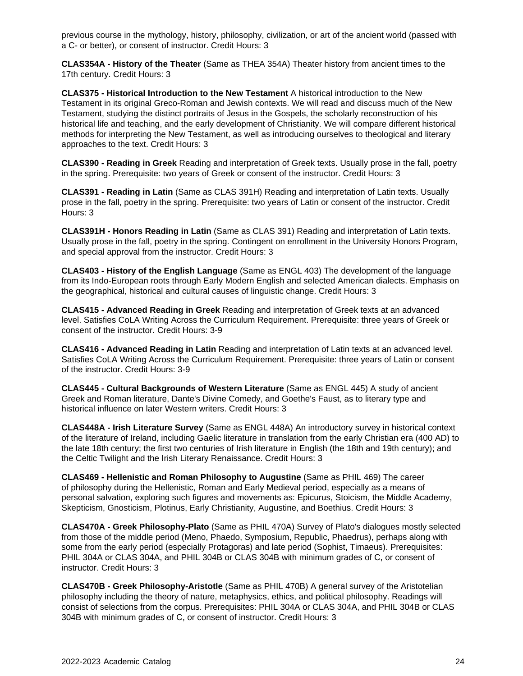previous course in the mythology, history, philosophy, civilization, or art of the ancient world (passed with a C- or better), or consent of instructor. Credit Hours: 3

**CLAS354A - History of the Theater** (Same as THEA 354A) Theater history from ancient times to the 17th century. Credit Hours: 3

**CLAS375 - Historical Introduction to the New Testament** A historical introduction to the New Testament in its original Greco-Roman and Jewish contexts. We will read and discuss much of the New Testament, studying the distinct portraits of Jesus in the Gospels, the scholarly reconstruction of his historical life and teaching, and the early development of Christianity. We will compare different historical methods for interpreting the New Testament, as well as introducing ourselves to theological and literary approaches to the text. Credit Hours: 3

**CLAS390 - Reading in Greek** Reading and interpretation of Greek texts. Usually prose in the fall, poetry in the spring. Prerequisite: two years of Greek or consent of the instructor. Credit Hours: 3

**CLAS391 - Reading in Latin** (Same as CLAS 391H) Reading and interpretation of Latin texts. Usually prose in the fall, poetry in the spring. Prerequisite: two years of Latin or consent of the instructor. Credit Hours: 3

**CLAS391H - Honors Reading in Latin** (Same as CLAS 391) Reading and interpretation of Latin texts. Usually prose in the fall, poetry in the spring. Contingent on enrollment in the University Honors Program, and special approval from the instructor. Credit Hours: 3

**CLAS403 - History of the English Language** (Same as ENGL 403) The development of the language from its Indo-European roots through Early Modern English and selected American dialects. Emphasis on the geographical, historical and cultural causes of linguistic change. Credit Hours: 3

**CLAS415 - Advanced Reading in Greek** Reading and interpretation of Greek texts at an advanced level. Satisfies CoLA Writing Across the Curriculum Requirement. Prerequisite: three years of Greek or consent of the instructor. Credit Hours: 3-9

**CLAS416 - Advanced Reading in Latin** Reading and interpretation of Latin texts at an advanced level. Satisfies CoLA Writing Across the Curriculum Requirement. Prerequisite: three years of Latin or consent of the instructor. Credit Hours: 3-9

**CLAS445 - Cultural Backgrounds of Western Literature** (Same as ENGL 445) A study of ancient Greek and Roman literature, Dante's Divine Comedy, and Goethe's Faust, as to literary type and historical influence on later Western writers. Credit Hours: 3

**CLAS448A - Irish Literature Survey** (Same as ENGL 448A) An introductory survey in historical context of the literature of Ireland, including Gaelic literature in translation from the early Christian era (400 AD) to the late 18th century; the first two centuries of Irish literature in English (the 18th and 19th century); and the Celtic Twilight and the Irish Literary Renaissance. Credit Hours: 3

**CLAS469 - Hellenistic and Roman Philosophy to Augustine** (Same as PHIL 469) The career of philosophy during the Hellenistic, Roman and Early Medieval period, especially as a means of personal salvation, exploring such figures and movements as: Epicurus, Stoicism, the Middle Academy, Skepticism, Gnosticism, Plotinus, Early Christianity, Augustine, and Boethius. Credit Hours: 3

**CLAS470A - Greek Philosophy-Plato** (Same as PHIL 470A) Survey of Plato's dialogues mostly selected from those of the middle period (Meno, Phaedo, Symposium, Republic, Phaedrus), perhaps along with some from the early period (especially Protagoras) and late period (Sophist, Timaeus). Prerequisites: PHIL 304A or CLAS 304A, and PHIL 304B or CLAS 304B with minimum grades of C, or consent of instructor. Credit Hours: 3

**CLAS470B - Greek Philosophy-Aristotle** (Same as PHIL 470B) A general survey of the Aristotelian philosophy including the theory of nature, metaphysics, ethics, and political philosophy. Readings will consist of selections from the corpus. Prerequisites: PHIL 304A or CLAS 304A, and PHIL 304B or CLAS 304B with minimum grades of C, or consent of instructor. Credit Hours: 3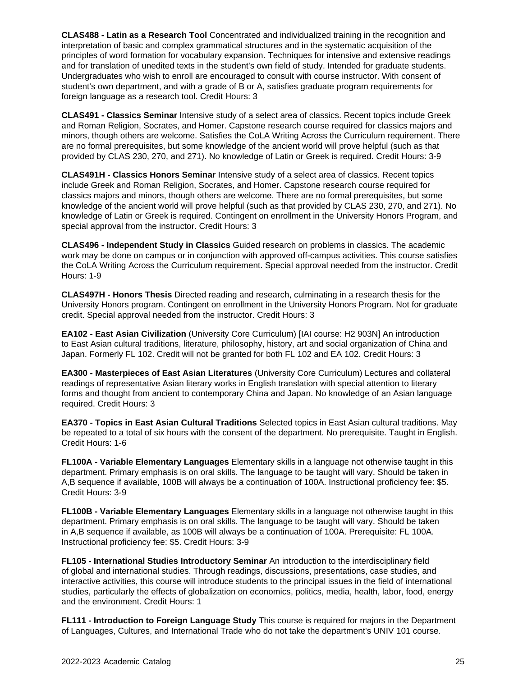**CLAS488 - Latin as a Research Tool** Concentrated and individualized training in the recognition and interpretation of basic and complex grammatical structures and in the systematic acquisition of the principles of word formation for vocabulary expansion. Techniques for intensive and extensive readings and for translation of unedited texts in the student's own field of study. Intended for graduate students. Undergraduates who wish to enroll are encouraged to consult with course instructor. With consent of student's own department, and with a grade of B or A, satisfies graduate program requirements for foreign language as a research tool. Credit Hours: 3

**CLAS491 - Classics Seminar** Intensive study of a select area of classics. Recent topics include Greek and Roman Religion, Socrates, and Homer. Capstone research course required for classics majors and minors, though others are welcome. Satisfies the CoLA Writing Across the Curriculum requirement. There are no formal prerequisites, but some knowledge of the ancient world will prove helpful (such as that provided by CLAS 230, 270, and 271). No knowledge of Latin or Greek is required. Credit Hours: 3-9

**CLAS491H - Classics Honors Seminar** Intensive study of a select area of classics. Recent topics include Greek and Roman Religion, Socrates, and Homer. Capstone research course required for classics majors and minors, though others are welcome. There are no formal prerequisites, but some knowledge of the ancient world will prove helpful (such as that provided by CLAS 230, 270, and 271). No knowledge of Latin or Greek is required. Contingent on enrollment in the University Honors Program, and special approval from the instructor. Credit Hours: 3

**CLAS496 - Independent Study in Classics** Guided research on problems in classics. The academic work may be done on campus or in conjunction with approved off-campus activities. This course satisfies the CoLA Writing Across the Curriculum requirement. Special approval needed from the instructor. Credit Hours: 1-9

**CLAS497H - Honors Thesis** Directed reading and research, culminating in a research thesis for the University Honors program. Contingent on enrollment in the University Honors Program. Not for graduate credit. Special approval needed from the instructor. Credit Hours: 3

**EA102 - East Asian Civilization** (University Core Curriculum) [IAI course: H2 903N] An introduction to East Asian cultural traditions, literature, philosophy, history, art and social organization of China and Japan. Formerly FL 102. Credit will not be granted for both FL 102 and EA 102. Credit Hours: 3

**EA300 - Masterpieces of East Asian Literatures** (University Core Curriculum) Lectures and collateral readings of representative Asian literary works in English translation with special attention to literary forms and thought from ancient to contemporary China and Japan. No knowledge of an Asian language required. Credit Hours: 3

**EA370 - Topics in East Asian Cultural Traditions** Selected topics in East Asian cultural traditions. May be repeated to a total of six hours with the consent of the department. No prerequisite. Taught in English. Credit Hours: 1-6

**FL100A - Variable Elementary Languages** Elementary skills in a language not otherwise taught in this department. Primary emphasis is on oral skills. The language to be taught will vary. Should be taken in A,B sequence if available, 100B will always be a continuation of 100A. Instructional proficiency fee: \$5. Credit Hours: 3-9

**FL100B - Variable Elementary Languages** Elementary skills in a language not otherwise taught in this department. Primary emphasis is on oral skills. The language to be taught will vary. Should be taken in A,B sequence if available, as 100B will always be a continuation of 100A. Prerequisite: FL 100A. Instructional proficiency fee: \$5. Credit Hours: 3-9

**FL105 - International Studies Introductory Seminar** An introduction to the interdisciplinary field of global and international studies. Through readings, discussions, presentations, case studies, and interactive activities, this course will introduce students to the principal issues in the field of international studies, particularly the effects of globalization on economics, politics, media, health, labor, food, energy and the environment. Credit Hours: 1

**FL111 - Introduction to Foreign Language Study** This course is required for majors in the Department of Languages, Cultures, and International Trade who do not take the department's UNIV 101 course.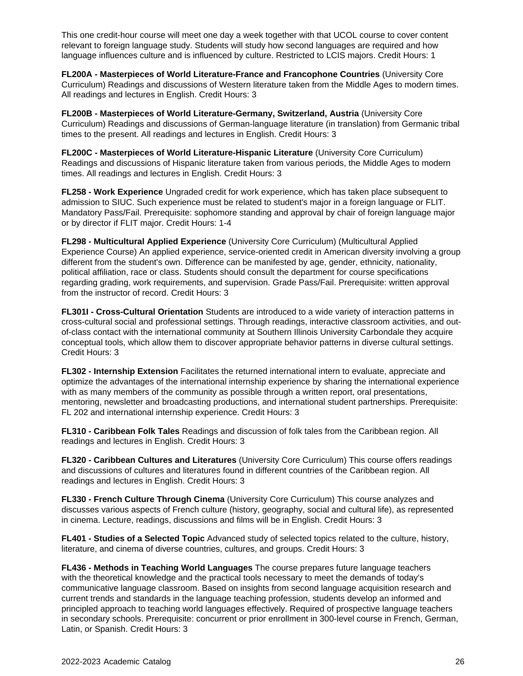This one credit-hour course will meet one day a week together with that UCOL course to cover content relevant to foreign language study. Students will study how second languages are required and how language influences culture and is influenced by culture. Restricted to LCIS majors. Credit Hours: 1

**FL200A - Masterpieces of World Literature-France and Francophone Countries** (University Core Curriculum) Readings and discussions of Western literature taken from the Middle Ages to modern times. All readings and lectures in English. Credit Hours: 3

**FL200B - Masterpieces of World Literature-Germany, Switzerland, Austria** (University Core Curriculum) Readings and discussions of German-language literature (in translation) from Germanic tribal times to the present. All readings and lectures in English. Credit Hours: 3

**FL200C - Masterpieces of World Literature-Hispanic Literature** (University Core Curriculum) Readings and discussions of Hispanic literature taken from various periods, the Middle Ages to modern times. All readings and lectures in English. Credit Hours: 3

**FL258 - Work Experience** Ungraded credit for work experience, which has taken place subsequent to admission to SIUC. Such experience must be related to student's major in a foreign language or FLIT. Mandatory Pass/Fail. Prerequisite: sophomore standing and approval by chair of foreign language major or by director if FLIT major. Credit Hours: 1-4

**FL298 - Multicultural Applied Experience** (University Core Curriculum) (Multicultural Applied Experience Course) An applied experience, service-oriented credit in American diversity involving a group different from the student's own. Difference can be manifested by age, gender, ethnicity, nationality, political affiliation, race or class. Students should consult the department for course specifications regarding grading, work requirements, and supervision. Grade Pass/Fail. Prerequisite: written approval from the instructor of record. Credit Hours: 3

**FL301I - Cross-Cultural Orientation** Students are introduced to a wide variety of interaction patterns in cross-cultural social and professional settings. Through readings, interactive classroom activities, and outof-class contact with the international community at Southern Illinois University Carbondale they acquire conceptual tools, which allow them to discover appropriate behavior patterns in diverse cultural settings. Credit Hours: 3

**FL302 - Internship Extension** Facilitates the returned international intern to evaluate, appreciate and optimize the advantages of the international internship experience by sharing the international experience with as many members of the community as possible through a written report, oral presentations, mentoring, newsletter and broadcasting productions, and international student partnerships. Prerequisite: FL 202 and international internship experience. Credit Hours: 3

**FL310 - Caribbean Folk Tales** Readings and discussion of folk tales from the Caribbean region. All readings and lectures in English. Credit Hours: 3

**FL320 - Caribbean Cultures and Literatures** (University Core Curriculum) This course offers readings and discussions of cultures and literatures found in different countries of the Caribbean region. All readings and lectures in English. Credit Hours: 3

**FL330 - French Culture Through Cinema** (University Core Curriculum) This course analyzes and discusses various aspects of French culture (history, geography, social and cultural life), as represented in cinema. Lecture, readings, discussions and films will be in English. Credit Hours: 3

**FL401 - Studies of a Selected Topic** Advanced study of selected topics related to the culture, history, literature, and cinema of diverse countries, cultures, and groups. Credit Hours: 3

**FL436 - Methods in Teaching World Languages** The course prepares future language teachers with the theoretical knowledge and the practical tools necessary to meet the demands of today's communicative language classroom. Based on insights from second language acquisition research and current trends and standards in the language teaching profession, students develop an informed and principled approach to teaching world languages effectively. Required of prospective language teachers in secondary schools. Prerequisite: concurrent or prior enrollment in 300-level course in French, German, Latin, or Spanish. Credit Hours: 3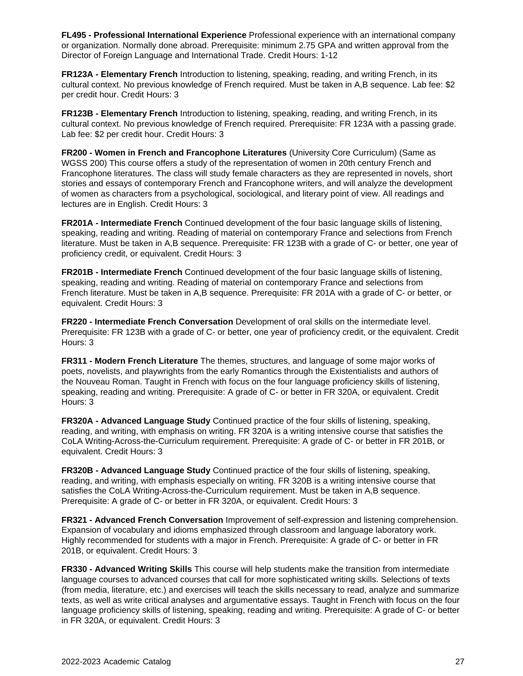**FL495 - Professional International Experience** Professional experience with an international company or organization. Normally done abroad. Prerequisite: minimum 2.75 GPA and written approval from the Director of Foreign Language and International Trade. Credit Hours: 1-12

**FR123A - Elementary French** Introduction to listening, speaking, reading, and writing French, in its cultural context. No previous knowledge of French required. Must be taken in A,B sequence. Lab fee: \$2 per credit hour. Credit Hours: 3

**FR123B - Elementary French** Introduction to listening, speaking, reading, and writing French, in its cultural context. No previous knowledge of French required. Prerequisite: FR 123A with a passing grade. Lab fee: \$2 per credit hour. Credit Hours: 3

**FR200 - Women in French and Francophone Literatures** (University Core Curriculum) (Same as WGSS 200) This course offers a study of the representation of women in 20th century French and Francophone literatures. The class will study female characters as they are represented in novels, short stories and essays of contemporary French and Francophone writers, and will analyze the development of women as characters from a psychological, sociological, and literary point of view. All readings and lectures are in English. Credit Hours: 3

**FR201A - Intermediate French** Continued development of the four basic language skills of listening, speaking, reading and writing. Reading of material on contemporary France and selections from French literature. Must be taken in A,B sequence. Prerequisite: FR 123B with a grade of C- or better, one year of proficiency credit, or equivalent. Credit Hours: 3

**FR201B - Intermediate French** Continued development of the four basic language skills of listening, speaking, reading and writing. Reading of material on contemporary France and selections from French literature. Must be taken in A,B sequence. Prerequisite: FR 201A with a grade of C- or better, or equivalent. Credit Hours: 3

**FR220 - Intermediate French Conversation** Development of oral skills on the intermediate level. Prerequisite: FR 123B with a grade of C- or better, one year of proficiency credit, or the equivalent. Credit Hours: 3

**FR311 - Modern French Literature** The themes, structures, and language of some major works of poets, novelists, and playwrights from the early Romantics through the Existentialists and authors of the Nouveau Roman. Taught in French with focus on the four language proficiency skills of listening, speaking, reading and writing. Prerequisite: A grade of C- or better in FR 320A, or equivalent. Credit Hours: 3

**FR320A - Advanced Language Study** Continued practice of the four skills of listening, speaking, reading, and writing, with emphasis on writing. FR 320A is a writing intensive course that satisfies the CoLA Writing-Across-the-Curriculum requirement. Prerequisite: A grade of C- or better in FR 201B, or equivalent. Credit Hours: 3

**FR320B - Advanced Language Study** Continued practice of the four skills of listening, speaking, reading, and writing, with emphasis especially on writing. FR 320B is a writing intensive course that satisfies the CoLA Writing-Across-the-Curriculum requirement. Must be taken in A,B sequence. Prerequisite: A grade of C- or better in FR 320A, or equivalent. Credit Hours: 3

**FR321 - Advanced French Conversation** Improvement of self-expression and listening comprehension. Expansion of vocabulary and idioms emphasized through classroom and language laboratory work. Highly recommended for students with a major in French. Prerequisite: A grade of C- or better in FR 201B, or equivalent. Credit Hours: 3

**FR330 - Advanced Writing Skills** This course will help students make the transition from intermediate language courses to advanced courses that call for more sophisticated writing skills. Selections of texts (from media, literature, etc.) and exercises will teach the skills necessary to read, analyze and summarize texts, as well as write critical analyses and argumentative essays. Taught in French with focus on the four language proficiency skills of listening, speaking, reading and writing. Prerequisite: A grade of C- or better in FR 320A, or equivalent. Credit Hours: 3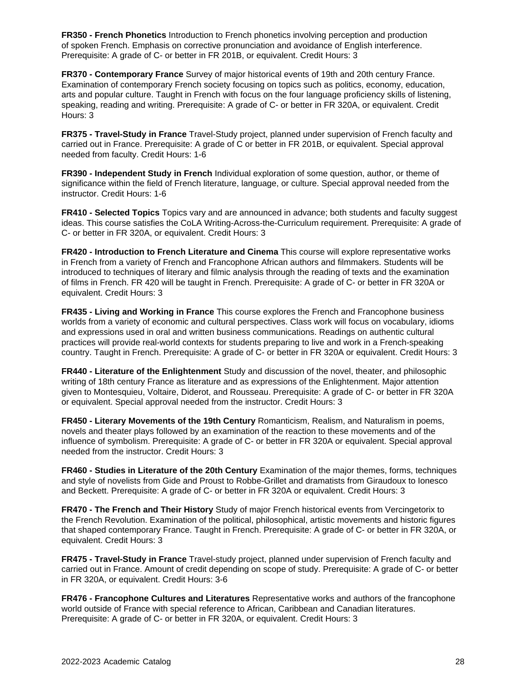**FR350 - French Phonetics** Introduction to French phonetics involving perception and production of spoken French. Emphasis on corrective pronunciation and avoidance of English interference. Prerequisite: A grade of C- or better in FR 201B, or equivalent. Credit Hours: 3

**FR370 - Contemporary France** Survey of major historical events of 19th and 20th century France. Examination of contemporary French society focusing on topics such as politics, economy, education, arts and popular culture. Taught in French with focus on the four language proficiency skills of listening, speaking, reading and writing. Prerequisite: A grade of C- or better in FR 320A, or equivalent. Credit Hours: 3

**FR375 - Travel-Study in France** Travel-Study project, planned under supervision of French faculty and carried out in France. Prerequisite: A grade of C or better in FR 201B, or equivalent. Special approval needed from faculty. Credit Hours: 1-6

**FR390 - Independent Study in French** Individual exploration of some question, author, or theme of significance within the field of French literature, language, or culture. Special approval needed from the instructor. Credit Hours: 1-6

**FR410 - Selected Topics** Topics vary and are announced in advance; both students and faculty suggest ideas. This course satisfies the CoLA Writing-Across-the-Curriculum requirement. Prerequisite: A grade of C- or better in FR 320A, or equivalent. Credit Hours: 3

**FR420 - Introduction to French Literature and Cinema** This course will explore representative works in French from a variety of French and Francophone African authors and filmmakers. Students will be introduced to techniques of literary and filmic analysis through the reading of texts and the examination of films in French. FR 420 will be taught in French. Prerequisite: A grade of C- or better in FR 320A or equivalent. Credit Hours: 3

**FR435 - Living and Working in France** This course explores the French and Francophone business worlds from a variety of economic and cultural perspectives. Class work will focus on vocabulary, idioms and expressions used in oral and written business communications. Readings on authentic cultural practices will provide real-world contexts for students preparing to live and work in a French-speaking country. Taught in French. Prerequisite: A grade of C- or better in FR 320A or equivalent. Credit Hours: 3

**FR440 - Literature of the Enlightenment** Study and discussion of the novel, theater, and philosophic writing of 18th century France as literature and as expressions of the Enlightenment. Major attention given to Montesquieu, Voltaire, Diderot, and Rousseau. Prerequisite: A grade of C- or better in FR 320A or equivalent. Special approval needed from the instructor. Credit Hours: 3

**FR450 - Literary Movements of the 19th Century** Romanticism, Realism, and Naturalism in poems, novels and theater plays followed by an examination of the reaction to these movements and of the influence of symbolism. Prerequisite: A grade of C- or better in FR 320A or equivalent. Special approval needed from the instructor. Credit Hours: 3

**FR460 - Studies in Literature of the 20th Century** Examination of the major themes, forms, techniques and style of novelists from Gide and Proust to Robbe-Grillet and dramatists from Giraudoux to Ionesco and Beckett. Prerequisite: A grade of C- or better in FR 320A or equivalent. Credit Hours: 3

**FR470 - The French and Their History** Study of major French historical events from Vercingetorix to the French Revolution. Examination of the political, philosophical, artistic movements and historic figures that shaped contemporary France. Taught in French. Prerequisite: A grade of C- or better in FR 320A, or equivalent. Credit Hours: 3

**FR475 - Travel-Study in France** Travel-study project, planned under supervision of French faculty and carried out in France. Amount of credit depending on scope of study. Prerequisite: A grade of C- or better in FR 320A, or equivalent. Credit Hours: 3-6

**FR476 - Francophone Cultures and Literatures** Representative works and authors of the francophone world outside of France with special reference to African, Caribbean and Canadian literatures. Prerequisite: A grade of C- or better in FR 320A, or equivalent. Credit Hours: 3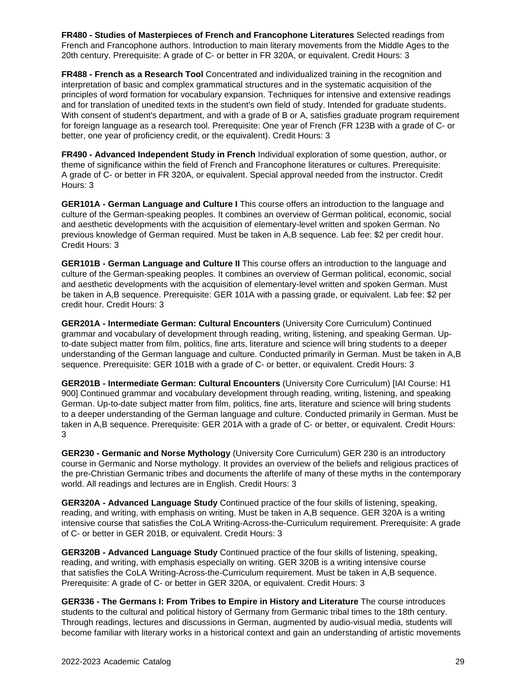**FR480 - Studies of Masterpieces of French and Francophone Literatures** Selected readings from French and Francophone authors. Introduction to main literary movements from the Middle Ages to the 20th century. Prerequisite: A grade of C- or better in FR 320A, or equivalent. Credit Hours: 3

**FR488 - French as a Research Tool** Concentrated and individualized training in the recognition and interpretation of basic and complex grammatical structures and in the systematic acquisition of the principles of word formation for vocabulary expansion. Techniques for intensive and extensive readings and for translation of unedited texts in the student's own field of study. Intended for graduate students. With consent of student's department, and with a grade of B or A, satisfies graduate program requirement for foreign language as a research tool. Prerequisite: One year of French (FR 123B with a grade of C- or better, one year of proficiency credit, or the equivalent). Credit Hours: 3

**FR490 - Advanced Independent Study in French** Individual exploration of some question, author, or theme of significance within the field of French and Francophone literatures or cultures. Prerequisite: A grade of C- or better in FR 320A, or equivalent. Special approval needed from the instructor. Credit Hours: 3

**GER101A - German Language and Culture I** This course offers an introduction to the language and culture of the German-speaking peoples. It combines an overview of German political, economic, social and aesthetic developments with the acquisition of elementary-level written and spoken German. No previous knowledge of German required. Must be taken in A,B sequence. Lab fee: \$2 per credit hour. Credit Hours: 3

**GER101B - German Language and Culture II** This course offers an introduction to the language and culture of the German-speaking peoples. It combines an overview of German political, economic, social and aesthetic developments with the acquisition of elementary-level written and spoken German. Must be taken in A,B sequence. Prerequisite: GER 101A with a passing grade, or equivalent. Lab fee: \$2 per credit hour. Credit Hours: 3

**GER201A - Intermediate German: Cultural Encounters** (University Core Curriculum) Continued grammar and vocabulary of development through reading, writing, listening, and speaking German. Upto-date subject matter from film, politics, fine arts, literature and science will bring students to a deeper understanding of the German language and culture. Conducted primarily in German. Must be taken in A,B sequence. Prerequisite: GER 101B with a grade of C- or better, or equivalent. Credit Hours: 3

**GER201B - Intermediate German: Cultural Encounters** (University Core Curriculum) [IAI Course: H1 900] Continued grammar and vocabulary development through reading, writing, listening, and speaking German. Up-to-date subject matter from film, politics, fine arts, literature and science will bring students to a deeper understanding of the German language and culture. Conducted primarily in German. Must be taken in A,B sequence. Prerequisite: GER 201A with a grade of C- or better, or equivalent. Credit Hours: 3

**GER230 - Germanic and Norse Mythology** (University Core Curriculum) GER 230 is an introductory course in Germanic and Norse mythology. It provides an overview of the beliefs and religious practices of the pre-Christian Germanic tribes and documents the afterlife of many of these myths in the contemporary world. All readings and lectures are in English. Credit Hours: 3

**GER320A - Advanced Language Study** Continued practice of the four skills of listening, speaking, reading, and writing, with emphasis on writing. Must be taken in A,B sequence. GER 320A is a writing intensive course that satisfies the CoLA Writing-Across-the-Curriculum requirement. Prerequisite: A grade of C- or better in GER 201B, or equivalent. Credit Hours: 3

**GER320B - Advanced Language Study** Continued practice of the four skills of listening, speaking, reading, and writing, with emphasis especially on writing. GER 320B is a writing intensive course that satisfies the CoLA Writing-Across-the-Curriculum requirement. Must be taken in A,B sequence. Prerequisite: A grade of C- or better in GER 320A, or equivalent. Credit Hours: 3

**GER336 - The Germans I: From Tribes to Empire in History and Literature** The course introduces students to the cultural and political history of Germany from Germanic tribal times to the 18th century. Through readings, lectures and discussions in German, augmented by audio-visual media, students will become familiar with literary works in a historical context and gain an understanding of artistic movements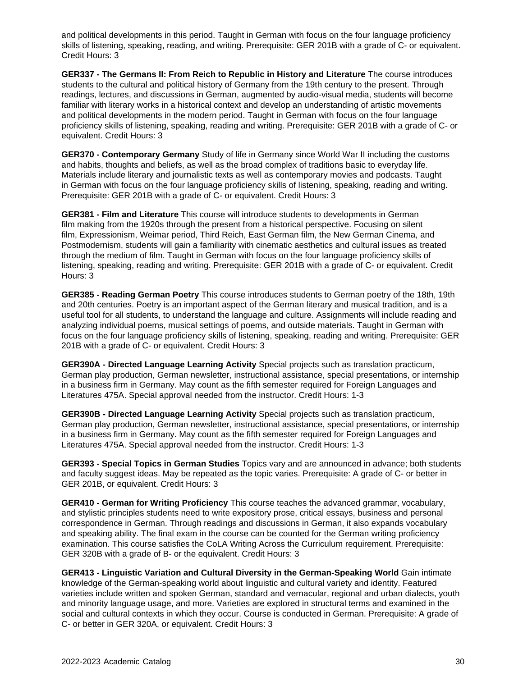and political developments in this period. Taught in German with focus on the four language proficiency skills of listening, speaking, reading, and writing. Prerequisite: GER 201B with a grade of C- or equivalent. Credit Hours: 3

**GER337 - The Germans II: From Reich to Republic in History and Literature** The course introduces students to the cultural and political history of Germany from the 19th century to the present. Through readings, lectures, and discussions in German, augmented by audio-visual media, students will become familiar with literary works in a historical context and develop an understanding of artistic movements and political developments in the modern period. Taught in German with focus on the four language proficiency skills of listening, speaking, reading and writing. Prerequisite: GER 201B with a grade of C- or equivalent. Credit Hours: 3

**GER370 - Contemporary Germany** Study of life in Germany since World War II including the customs and habits, thoughts and beliefs, as well as the broad complex of traditions basic to everyday life. Materials include literary and journalistic texts as well as contemporary movies and podcasts. Taught in German with focus on the four language proficiency skills of listening, speaking, reading and writing. Prerequisite: GER 201B with a grade of C- or equivalent. Credit Hours: 3

**GER381 - Film and Literature** This course will introduce students to developments in German film making from the 1920s through the present from a historical perspective. Focusing on silent film, Expressionism, Weimar period, Third Reich, East German film, the New German Cinema, and Postmodernism, students will gain a familiarity with cinematic aesthetics and cultural issues as treated through the medium of film. Taught in German with focus on the four language proficiency skills of listening, speaking, reading and writing. Prerequisite: GER 201B with a grade of C- or equivalent. Credit Hours: 3

**GER385 - Reading German Poetry** This course introduces students to German poetry of the 18th, 19th and 20th centuries. Poetry is an important aspect of the German literary and musical tradition, and is a useful tool for all students, to understand the language and culture. Assignments will include reading and analyzing individual poems, musical settings of poems, and outside materials. Taught in German with focus on the four language proficiency skills of listening, speaking, reading and writing. Prerequisite: GER 201B with a grade of C- or equivalent. Credit Hours: 3

**GER390A - Directed Language Learning Activity** Special projects such as translation practicum, German play production, German newsletter, instructional assistance, special presentations, or internship in a business firm in Germany. May count as the fifth semester required for Foreign Languages and Literatures 475A. Special approval needed from the instructor. Credit Hours: 1-3

**GER390B - Directed Language Learning Activity** Special projects such as translation practicum, German play production, German newsletter, instructional assistance, special presentations, or internship in a business firm in Germany. May count as the fifth semester required for Foreign Languages and Literatures 475A. Special approval needed from the instructor. Credit Hours: 1-3

**GER393 - Special Topics in German Studies** Topics vary and are announced in advance; both students and faculty suggest ideas. May be repeated as the topic varies. Prerequisite: A grade of C- or better in GER 201B, or equivalent. Credit Hours: 3

**GER410 - German for Writing Proficiency** This course teaches the advanced grammar, vocabulary, and stylistic principles students need to write expository prose, critical essays, business and personal correspondence in German. Through readings and discussions in German, it also expands vocabulary and speaking ability. The final exam in the course can be counted for the German writing proficiency examination. This course satisfies the CoLA Writing Across the Curriculum requirement. Prerequisite: GER 320B with a grade of B- or the equivalent. Credit Hours: 3

**GER413 - Linguistic Variation and Cultural Diversity in the German-Speaking World** Gain intimate knowledge of the German-speaking world about linguistic and cultural variety and identity. Featured varieties include written and spoken German, standard and vernacular, regional and urban dialects, youth and minority language usage, and more. Varieties are explored in structural terms and examined in the social and cultural contexts in which they occur. Course is conducted in German. Prerequisite: A grade of C- or better in GER 320A, or equivalent. Credit Hours: 3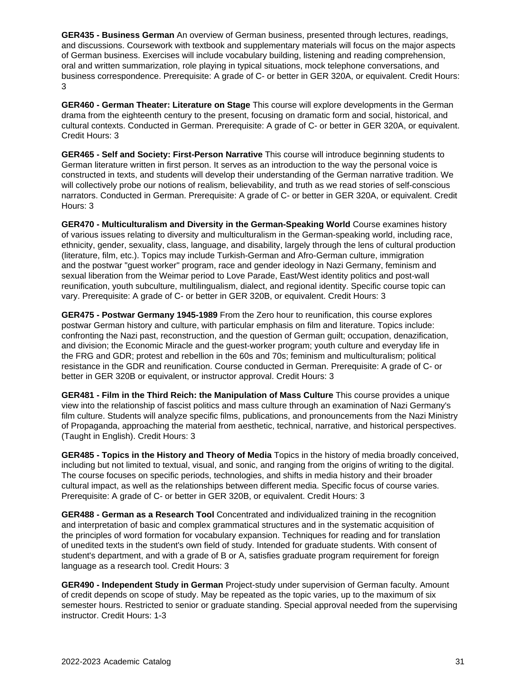**GER435 - Business German** An overview of German business, presented through lectures, readings, and discussions. Coursework with textbook and supplementary materials will focus on the major aspects of German business. Exercises will include vocabulary building, listening and reading comprehension, oral and written summarization, role playing in typical situations, mock telephone conversations, and business correspondence. Prerequisite: A grade of C- or better in GER 320A, or equivalent. Credit Hours: 3

**GER460 - German Theater: Literature on Stage** This course will explore developments in the German drama from the eighteenth century to the present, focusing on dramatic form and social, historical, and cultural contexts. Conducted in German. Prerequisite: A grade of C- or better in GER 320A, or equivalent. Credit Hours: 3

**GER465 - Self and Society: First-Person Narrative** This course will introduce beginning students to German literature written in first person. It serves as an introduction to the way the personal voice is constructed in texts, and students will develop their understanding of the German narrative tradition. We will collectively probe our notions of realism, believability, and truth as we read stories of self-conscious narrators. Conducted in German. Prerequisite: A grade of C- or better in GER 320A, or equivalent. Credit Hours: 3

**GER470 - Multiculturalism and Diversity in the German-Speaking World** Course examines history of various issues relating to diversity and multiculturalism in the German-speaking world, including race, ethnicity, gender, sexuality, class, language, and disability, largely through the lens of cultural production (literature, film, etc.). Topics may include Turkish-German and Afro-German culture, immigration and the postwar "guest worker" program, race and gender ideology in Nazi Germany, feminism and sexual liberation from the Weimar period to Love Parade, East/West identity politics and post-wall reunification, youth subculture, multilingualism, dialect, and regional identity. Specific course topic can vary. Prerequisite: A grade of C- or better in GER 320B, or equivalent. Credit Hours: 3

**GER475 - Postwar Germany 1945-1989** From the Zero hour to reunification, this course explores postwar German history and culture, with particular emphasis on film and literature. Topics include: confronting the Nazi past, reconstruction, and the question of German guilt; occupation, denazification, and division; the Economic Miracle and the guest-worker program; youth culture and everyday life in the FRG and GDR; protest and rebellion in the 60s and 70s; feminism and multiculturalism; political resistance in the GDR and reunification. Course conducted in German. Prerequisite: A grade of C- or better in GER 320B or equivalent, or instructor approval. Credit Hours: 3

**GER481 - Film in the Third Reich: the Manipulation of Mass Culture** This course provides a unique view into the relationship of fascist politics and mass culture through an examination of Nazi Germany's film culture. Students will analyze specific films, publications, and pronouncements from the Nazi Ministry of Propaganda, approaching the material from aesthetic, technical, narrative, and historical perspectives. (Taught in English). Credit Hours: 3

**GER485 - Topics in the History and Theory of Media** Topics in the history of media broadly conceived, including but not limited to textual, visual, and sonic, and ranging from the origins of writing to the digital. The course focuses on specific periods, technologies, and shifts in media history and their broader cultural impact, as well as the relationships between different media. Specific focus of course varies. Prerequisite: A grade of C- or better in GER 320B, or equivalent. Credit Hours: 3

**GER488 - German as a Research Tool** Concentrated and individualized training in the recognition and interpretation of basic and complex grammatical structures and in the systematic acquisition of the principles of word formation for vocabulary expansion. Techniques for reading and for translation of unedited texts in the student's own field of study. Intended for graduate students. With consent of student's department, and with a grade of B or A, satisfies graduate program requirement for foreign language as a research tool. Credit Hours: 3

**GER490 - Independent Study in German** Project-study under supervision of German faculty. Amount of credit depends on scope of study. May be repeated as the topic varies, up to the maximum of six semester hours. Restricted to senior or graduate standing. Special approval needed from the supervising instructor. Credit Hours: 1-3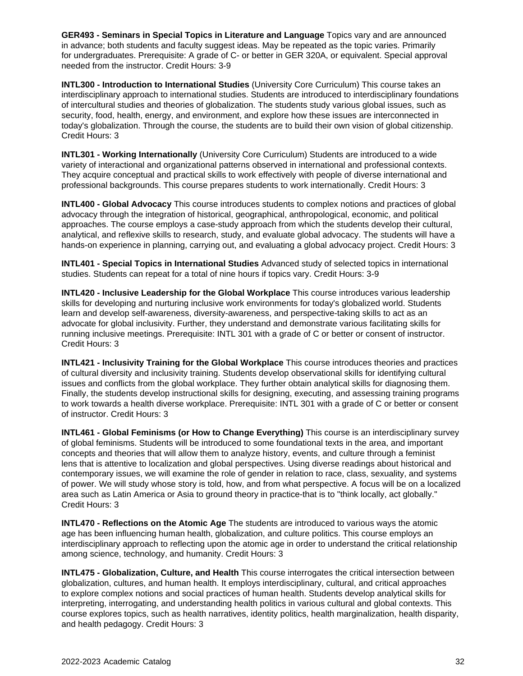**GER493 - Seminars in Special Topics in Literature and Language** Topics vary and are announced in advance; both students and faculty suggest ideas. May be repeated as the topic varies. Primarily for undergraduates. Prerequisite: A grade of C- or better in GER 320A, or equivalent. Special approval needed from the instructor. Credit Hours: 3-9

**INTL300 - Introduction to International Studies** (University Core Curriculum) This course takes an interdisciplinary approach to international studies. Students are introduced to interdisciplinary foundations of intercultural studies and theories of globalization. The students study various global issues, such as security, food, health, energy, and environment, and explore how these issues are interconnected in today's globalization. Through the course, the students are to build their own vision of global citizenship. Credit Hours: 3

**INTL301 - Working Internationally** (University Core Curriculum) Students are introduced to a wide variety of interactional and organizational patterns observed in international and professional contexts. They acquire conceptual and practical skills to work effectively with people of diverse international and professional backgrounds. This course prepares students to work internationally. Credit Hours: 3

**INTL400 - Global Advocacy** This course introduces students to complex notions and practices of global advocacy through the integration of historical, geographical, anthropological, economic, and political approaches. The course employs a case-study approach from which the students develop their cultural, analytical, and reflexive skills to research, study, and evaluate global advocacy. The students will have a hands-on experience in planning, carrying out, and evaluating a global advocacy project. Credit Hours: 3

**INTL401 - Special Topics in International Studies** Advanced study of selected topics in international studies. Students can repeat for a total of nine hours if topics vary. Credit Hours: 3-9

**INTL420 - Inclusive Leadership for the Global Workplace** This course introduces various leadership skills for developing and nurturing inclusive work environments for today's globalized world. Students learn and develop self-awareness, diversity-awareness, and perspective-taking skills to act as an advocate for global inclusivity. Further, they understand and demonstrate various facilitating skills for running inclusive meetings. Prerequisite: INTL 301 with a grade of C or better or consent of instructor. Credit Hours: 3

**INTL421 - Inclusivity Training for the Global Workplace** This course introduces theories and practices of cultural diversity and inclusivity training. Students develop observational skills for identifying cultural issues and conflicts from the global workplace. They further obtain analytical skills for diagnosing them. Finally, the students develop instructional skills for designing, executing, and assessing training programs to work towards a health diverse workplace. Prerequisite: INTL 301 with a grade of C or better or consent of instructor. Credit Hours: 3

**INTL461 - Global Feminisms (or How to Change Everything)** This course is an interdisciplinary survey of global feminisms. Students will be introduced to some foundational texts in the area, and important concepts and theories that will allow them to analyze history, events, and culture through a feminist lens that is attentive to localization and global perspectives. Using diverse readings about historical and contemporary issues, we will examine the role of gender in relation to race, class, sexuality, and systems of power. We will study whose story is told, how, and from what perspective. A focus will be on a localized area such as Latin America or Asia to ground theory in practice-that is to "think locally, act globally." Credit Hours: 3

**INTL470 - Reflections on the Atomic Age** The students are introduced to various ways the atomic age has been influencing human health, globalization, and culture politics. This course employs an interdisciplinary approach to reflecting upon the atomic age in order to understand the critical relationship among science, technology, and humanity. Credit Hours: 3

**INTL475 - Globalization, Culture, and Health** This course interrogates the critical intersection between globalization, cultures, and human health. It employs interdisciplinary, cultural, and critical approaches to explore complex notions and social practices of human health. Students develop analytical skills for interpreting, interrogating, and understanding health politics in various cultural and global contexts. This course explores topics, such as health narratives, identity politics, health marginalization, health disparity, and health pedagogy. Credit Hours: 3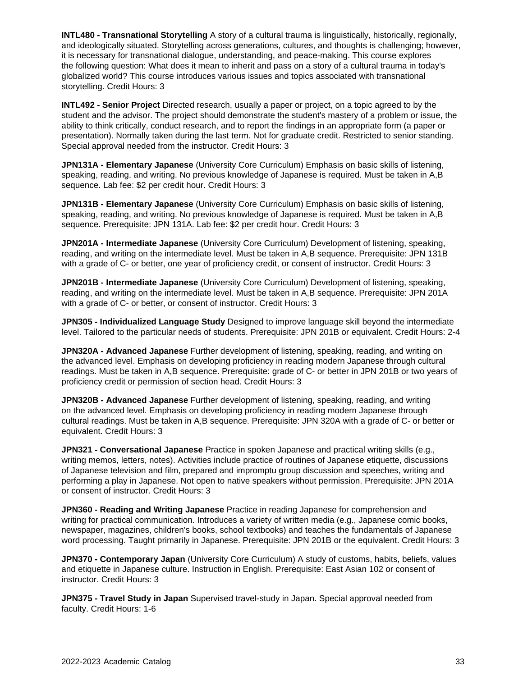**INTL480 - Transnational Storytelling** A story of a cultural trauma is linguistically, historically, regionally, and ideologically situated. Storytelling across generations, cultures, and thoughts is challenging; however, it is necessary for transnational dialogue, understanding, and peace-making. This course explores the following question: What does it mean to inherit and pass on a story of a cultural trauma in today's globalized world? This course introduces various issues and topics associated with transnational storytelling. Credit Hours: 3

**INTL492 - Senior Project** Directed research, usually a paper or project, on a topic agreed to by the student and the advisor. The project should demonstrate the student's mastery of a problem or issue, the ability to think critically, conduct research, and to report the findings in an appropriate form (a paper or presentation). Normally taken during the last term. Not for graduate credit. Restricted to senior standing. Special approval needed from the instructor. Credit Hours: 3

**JPN131A - Elementary Japanese** (University Core Curriculum) Emphasis on basic skills of listening, speaking, reading, and writing. No previous knowledge of Japanese is required. Must be taken in A,B sequence. Lab fee: \$2 per credit hour. Credit Hours: 3

**JPN131B - Elementary Japanese** (University Core Curriculum) Emphasis on basic skills of listening, speaking, reading, and writing. No previous knowledge of Japanese is required. Must be taken in A,B sequence. Prerequisite: JPN 131A. Lab fee: \$2 per credit hour. Credit Hours: 3

**JPN201A - Intermediate Japanese** (University Core Curriculum) Development of listening, speaking, reading, and writing on the intermediate level. Must be taken in A,B sequence. Prerequisite: JPN 131B with a grade of C- or better, one year of proficiency credit, or consent of instructor. Credit Hours: 3

**JPN201B - Intermediate Japanese** (University Core Curriculum) Development of listening, speaking, reading, and writing on the intermediate level. Must be taken in A,B sequence. Prerequisite: JPN 201A with a grade of C- or better, or consent of instructor. Credit Hours: 3

**JPN305 - Individualized Language Study** Designed to improve language skill beyond the intermediate level. Tailored to the particular needs of students. Prerequisite: JPN 201B or equivalent. Credit Hours: 2-4

**JPN320A - Advanced Japanese** Further development of listening, speaking, reading, and writing on the advanced level. Emphasis on developing proficiency in reading modern Japanese through cultural readings. Must be taken in A,B sequence. Prerequisite: grade of C- or better in JPN 201B or two years of proficiency credit or permission of section head. Credit Hours: 3

**JPN320B - Advanced Japanese** Further development of listening, speaking, reading, and writing on the advanced level. Emphasis on developing proficiency in reading modern Japanese through cultural readings. Must be taken in A,B sequence. Prerequisite: JPN 320A with a grade of C- or better or equivalent. Credit Hours: 3

**JPN321 - Conversational Japanese** Practice in spoken Japanese and practical writing skills (e.g., writing memos, letters, notes). Activities include practice of routines of Japanese etiquette, discussions of Japanese television and film, prepared and impromptu group discussion and speeches, writing and performing a play in Japanese. Not open to native speakers without permission. Prerequisite: JPN 201A or consent of instructor. Credit Hours: 3

**JPN360 - Reading and Writing Japanese** Practice in reading Japanese for comprehension and writing for practical communication. Introduces a variety of written media (e.g., Japanese comic books, newspaper, magazines, children's books, school textbooks) and teaches the fundamentals of Japanese word processing. Taught primarily in Japanese. Prerequisite: JPN 201B or the equivalent. Credit Hours: 3

**JPN370 - Contemporary Japan** (University Core Curriculum) A study of customs, habits, beliefs, values and etiquette in Japanese culture. Instruction in English. Prerequisite: East Asian 102 or consent of instructor. Credit Hours: 3

**JPN375 - Travel Study in Japan** Supervised travel-study in Japan. Special approval needed from faculty. Credit Hours: 1-6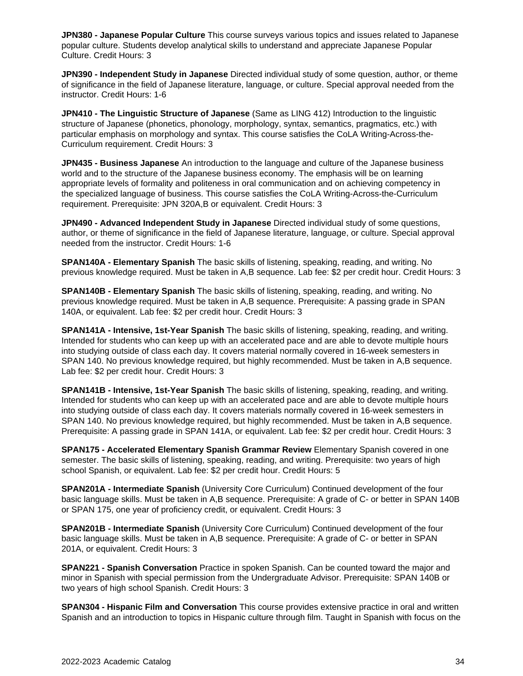**JPN380 - Japanese Popular Culture** This course surveys various topics and issues related to Japanese popular culture. Students develop analytical skills to understand and appreciate Japanese Popular Culture. Credit Hours: 3

**JPN390 - Independent Study in Japanese** Directed individual study of some question, author, or theme of significance in the field of Japanese literature, language, or culture. Special approval needed from the instructor. Credit Hours: 1-6

**JPN410 - The Linguistic Structure of Japanese** (Same as LING 412) Introduction to the linguistic structure of Japanese (phonetics, phonology, morphology, syntax, semantics, pragmatics, etc.) with particular emphasis on morphology and syntax. This course satisfies the CoLA Writing-Across-the-Curriculum requirement. Credit Hours: 3

**JPN435 - Business Japanese** An introduction to the language and culture of the Japanese business world and to the structure of the Japanese business economy. The emphasis will be on learning appropriate levels of formality and politeness in oral communication and on achieving competency in the specialized language of business. This course satisfies the CoLA Writing-Across-the-Curriculum requirement. Prerequisite: JPN 320A,B or equivalent. Credit Hours: 3

**JPN490 - Advanced Independent Study in Japanese** Directed individual study of some questions, author, or theme of significance in the field of Japanese literature, language, or culture. Special approval needed from the instructor. Credit Hours: 1-6

**SPAN140A - Elementary Spanish** The basic skills of listening, speaking, reading, and writing. No previous knowledge required. Must be taken in A,B sequence. Lab fee: \$2 per credit hour. Credit Hours: 3

**SPAN140B - Elementary Spanish** The basic skills of listening, speaking, reading, and writing. No previous knowledge required. Must be taken in A,B sequence. Prerequisite: A passing grade in SPAN 140A, or equivalent. Lab fee: \$2 per credit hour. Credit Hours: 3

**SPAN141A - Intensive, 1st-Year Spanish** The basic skills of listening, speaking, reading, and writing. Intended for students who can keep up with an accelerated pace and are able to devote multiple hours into studying outside of class each day. It covers material normally covered in 16-week semesters in SPAN 140. No previous knowledge required, but highly recommended. Must be taken in A,B sequence. Lab fee: \$2 per credit hour. Credit Hours: 3

**SPAN141B - Intensive, 1st-Year Spanish** The basic skills of listening, speaking, reading, and writing. Intended for students who can keep up with an accelerated pace and are able to devote multiple hours into studying outside of class each day. It covers materials normally covered in 16-week semesters in SPAN 140. No previous knowledge required, but highly recommended. Must be taken in A,B sequence. Prerequisite: A passing grade in SPAN 141A, or equivalent. Lab fee: \$2 per credit hour. Credit Hours: 3

**SPAN175 - Accelerated Elementary Spanish Grammar Review** Elementary Spanish covered in one semester. The basic skills of listening, speaking, reading, and writing. Prerequisite: two years of high school Spanish, or equivalent. Lab fee: \$2 per credit hour. Credit Hours: 5

**SPAN201A - Intermediate Spanish** (University Core Curriculum) Continued development of the four basic language skills. Must be taken in A,B sequence. Prerequisite: A grade of C- or better in SPAN 140B or SPAN 175, one year of proficiency credit, or equivalent. Credit Hours: 3

**SPAN201B - Intermediate Spanish** (University Core Curriculum) Continued development of the four basic language skills. Must be taken in A,B sequence. Prerequisite: A grade of C- or better in SPAN 201A, or equivalent. Credit Hours: 3

**SPAN221 - Spanish Conversation** Practice in spoken Spanish. Can be counted toward the major and minor in Spanish with special permission from the Undergraduate Advisor. Prerequisite: SPAN 140B or two years of high school Spanish. Credit Hours: 3

**SPAN304 - Hispanic Film and Conversation** This course provides extensive practice in oral and written Spanish and an introduction to topics in Hispanic culture through film. Taught in Spanish with focus on the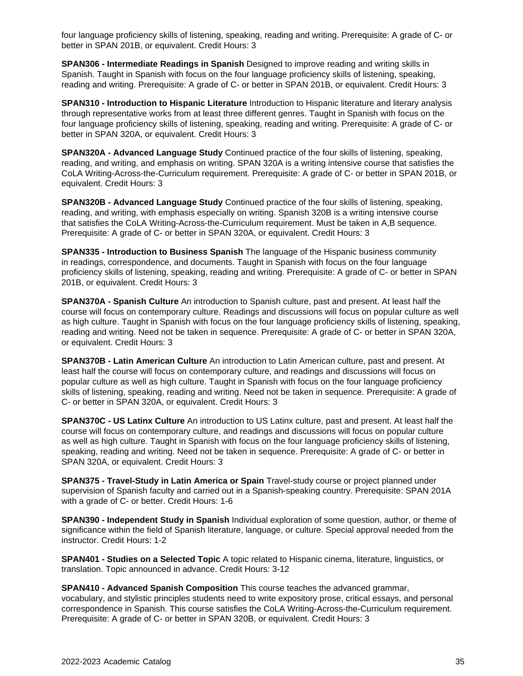four language proficiency skills of listening, speaking, reading and writing. Prerequisite: A grade of C- or better in SPAN 201B, or equivalent. Credit Hours: 3

**SPAN306 - Intermediate Readings in Spanish** Designed to improve reading and writing skills in Spanish. Taught in Spanish with focus on the four language proficiency skills of listening, speaking, reading and writing. Prerequisite: A grade of C- or better in SPAN 201B, or equivalent. Credit Hours: 3

**SPAN310 - Introduction to Hispanic Literature** Introduction to Hispanic literature and literary analysis through representative works from at least three different genres. Taught in Spanish with focus on the four language proficiency skills of listening, speaking, reading and writing. Prerequisite: A grade of C- or better in SPAN 320A, or equivalent. Credit Hours: 3

**SPAN320A - Advanced Language Study** Continued practice of the four skills of listening, speaking, reading, and writing, and emphasis on writing. SPAN 320A is a writing intensive course that satisfies the CoLA Writing-Across-the-Curriculum requirement. Prerequisite: A grade of C- or better in SPAN 201B, or equivalent. Credit Hours: 3

**SPAN320B - Advanced Language Study** Continued practice of the four skills of listening, speaking, reading, and writing, with emphasis especially on writing. Spanish 320B is a writing intensive course that satisfies the CoLA Writing-Across-the-Curriculum requirement. Must be taken in A,B sequence. Prerequisite: A grade of C- or better in SPAN 320A, or equivalent. Credit Hours: 3

**SPAN335 - Introduction to Business Spanish** The language of the Hispanic business community in readings, correspondence, and documents. Taught in Spanish with focus on the four language proficiency skills of listening, speaking, reading and writing. Prerequisite: A grade of C- or better in SPAN 201B, or equivalent. Credit Hours: 3

**SPAN370A - Spanish Culture** An introduction to Spanish culture, past and present. At least half the course will focus on contemporary culture. Readings and discussions will focus on popular culture as well as high culture. Taught in Spanish with focus on the four language proficiency skills of listening, speaking, reading and writing. Need not be taken in sequence. Prerequisite: A grade of C- or better in SPAN 320A, or equivalent. Credit Hours: 3

**SPAN370B - Latin American Culture** An introduction to Latin American culture, past and present. At least half the course will focus on contemporary culture, and readings and discussions will focus on popular culture as well as high culture. Taught in Spanish with focus on the four language proficiency skills of listening, speaking, reading and writing. Need not be taken in sequence. Prerequisite: A grade of C- or better in SPAN 320A, or equivalent. Credit Hours: 3

**SPAN370C - US Latinx Culture** An introduction to US Latinx culture, past and present. At least half the course will focus on contemporary culture, and readings and discussions will focus on popular culture as well as high culture. Taught in Spanish with focus on the four language proficiency skills of listening, speaking, reading and writing. Need not be taken in sequence. Prerequisite: A grade of C- or better in SPAN 320A, or equivalent. Credit Hours: 3

**SPAN375 - Travel-Study in Latin America or Spain** Travel-study course or project planned under supervision of Spanish faculty and carried out in a Spanish-speaking country. Prerequisite: SPAN 201A with a grade of C- or better. Credit Hours: 1-6

**SPAN390 - Independent Study in Spanish** Individual exploration of some question, author, or theme of significance within the field of Spanish literature, language, or culture. Special approval needed from the instructor. Credit Hours: 1-2

**SPAN401 - Studies on a Selected Topic** A topic related to Hispanic cinema, literature, linguistics, or translation. Topic announced in advance. Credit Hours: 3-12

**SPAN410 - Advanced Spanish Composition** This course teaches the advanced grammar, vocabulary, and stylistic principles students need to write expository prose, critical essays, and personal correspondence in Spanish. This course satisfies the CoLA Writing-Across-the-Curriculum requirement. Prerequisite: A grade of C- or better in SPAN 320B, or equivalent. Credit Hours: 3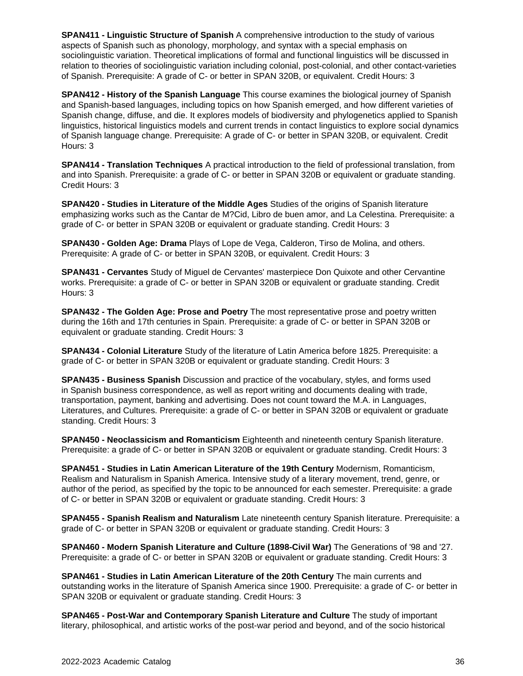**SPAN411 - Linguistic Structure of Spanish** A comprehensive introduction to the study of various aspects of Spanish such as phonology, morphology, and syntax with a special emphasis on sociolinguistic variation. Theoretical implications of formal and functional linguistics will be discussed in relation to theories of sociolinguistic variation including colonial, post-colonial, and other contact-varieties of Spanish. Prerequisite: A grade of C- or better in SPAN 320B, or equivalent. Credit Hours: 3

**SPAN412 - History of the Spanish Language** This course examines the biological journey of Spanish and Spanish-based languages, including topics on how Spanish emerged, and how different varieties of Spanish change, diffuse, and die. It explores models of biodiversity and phylogenetics applied to Spanish linguistics, historical linguistics models and current trends in contact linguistics to explore social dynamics of Spanish language change. Prerequisite: A grade of C- or better in SPAN 320B, or equivalent. Credit Hours: 3

**SPAN414 - Translation Techniques** A practical introduction to the field of professional translation, from and into Spanish. Prerequisite: a grade of C- or better in SPAN 320B or equivalent or graduate standing. Credit Hours: 3

**SPAN420 - Studies in Literature of the Middle Ages** Studies of the origins of Spanish literature emphasizing works such as the Cantar de M?Cid, Libro de buen amor, and La Celestina. Prerequisite: a grade of C- or better in SPAN 320B or equivalent or graduate standing. Credit Hours: 3

**SPAN430 - Golden Age: Drama** Plays of Lope de Vega, Calderon, Tirso de Molina, and others. Prerequisite: A grade of C- or better in SPAN 320B, or equivalent. Credit Hours: 3

**SPAN431 - Cervantes** Study of Miguel de Cervantes' masterpiece Don Quixote and other Cervantine works. Prerequisite: a grade of C- or better in SPAN 320B or equivalent or graduate standing. Credit Hours: 3

**SPAN432 - The Golden Age: Prose and Poetry** The most representative prose and poetry written during the 16th and 17th centuries in Spain. Prerequisite: a grade of C- or better in SPAN 320B or equivalent or graduate standing. Credit Hours: 3

**SPAN434 - Colonial Literature** Study of the literature of Latin America before 1825. Prerequisite: a grade of C- or better in SPAN 320B or equivalent or graduate standing. Credit Hours: 3

**SPAN435 - Business Spanish** Discussion and practice of the vocabulary, styles, and forms used in Spanish business correspondence, as well as report writing and documents dealing with trade, transportation, payment, banking and advertising. Does not count toward the M.A. in Languages, Literatures, and Cultures. Prerequisite: a grade of C- or better in SPAN 320B or equivalent or graduate standing. Credit Hours: 3

**SPAN450 - Neoclassicism and Romanticism** Eighteenth and nineteenth century Spanish literature. Prerequisite: a grade of C- or better in SPAN 320B or equivalent or graduate standing. Credit Hours: 3

**SPAN451 - Studies in Latin American Literature of the 19th Century** Modernism, Romanticism, Realism and Naturalism in Spanish America. Intensive study of a literary movement, trend, genre, or author of the period, as specified by the topic to be announced for each semester. Prerequisite: a grade of C- or better in SPAN 320B or equivalent or graduate standing. Credit Hours: 3

**SPAN455 - Spanish Realism and Naturalism** Late nineteenth century Spanish literature. Prerequisite: a grade of C- or better in SPAN 320B or equivalent or graduate standing. Credit Hours: 3

**SPAN460 - Modern Spanish Literature and Culture (1898-Civil War)** The Generations of '98 and '27. Prerequisite: a grade of C- or better in SPAN 320B or equivalent or graduate standing. Credit Hours: 3

**SPAN461 - Studies in Latin American Literature of the 20th Century** The main currents and outstanding works in the literature of Spanish America since 1900. Prerequisite: a grade of C- or better in SPAN 320B or equivalent or graduate standing. Credit Hours: 3

**SPAN465 - Post-War and Contemporary Spanish Literature and Culture** The study of important literary, philosophical, and artistic works of the post-war period and beyond, and of the socio historical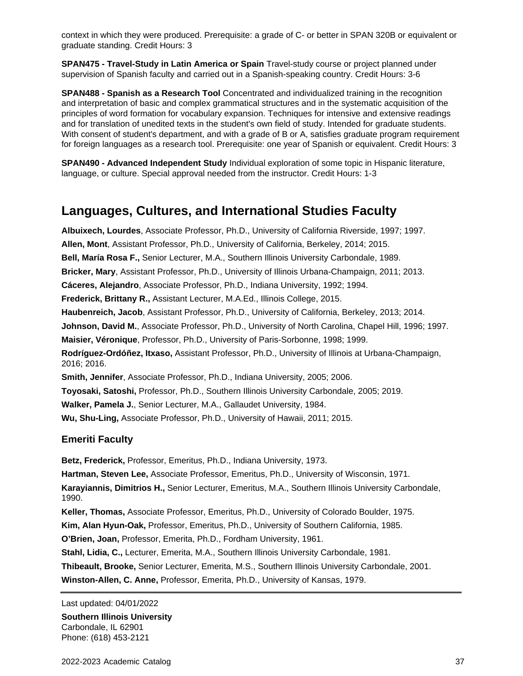context in which they were produced. Prerequisite: a grade of C- or better in SPAN 320B or equivalent or graduate standing. Credit Hours: 3

**SPAN475 - Travel-Study in Latin America or Spain** Travel-study course or project planned under supervision of Spanish faculty and carried out in a Spanish-speaking country. Credit Hours: 3-6

**SPAN488 - Spanish as a Research Tool** Concentrated and individualized training in the recognition and interpretation of basic and complex grammatical structures and in the systematic acquisition of the principles of word formation for vocabulary expansion. Techniques for intensive and extensive readings and for translation of unedited texts in the student's own field of study. Intended for graduate students. With consent of student's department, and with a grade of B or A, satisfies graduate program requirement for foreign languages as a research tool. Prerequisite: one year of Spanish or equivalent. Credit Hours: 3

**SPAN490 - Advanced Independent Study** Individual exploration of some topic in Hispanic literature, language, or culture. Special approval needed from the instructor. Credit Hours: 1-3

## **Languages, Cultures, and International Studies Faculty**

**Albuixech, Lourdes**, Associate Professor, Ph.D., University of California Riverside, 1997; 1997. **Allen, Mont**, Assistant Professor, Ph.D., University of California, Berkeley, 2014; 2015. **Bell, María Rosa F.,** Senior Lecturer, M.A., Southern Illinois University Carbondale, 1989. **Bricker, Mary**, Assistant Professor, Ph.D., University of Illinois Urbana-Champaign, 2011; 2013. **Cáceres, Alejandro**, Associate Professor, Ph.D., Indiana University, 1992; 1994. **Frederick, Brittany R.,** Assistant Lecturer, M.A.Ed., Illinois College, 2015. **Haubenreich, Jacob**, Assistant Professor, Ph.D., University of California, Berkeley, 2013; 2014. **Johnson, David M.**, Associate Professor, Ph.D., University of North Carolina, Chapel Hill, 1996; 1997. **Maisier, Véronique**, Professor, Ph.D., University of Paris-Sorbonne, 1998; 1999. **Rodríguez-Ordóñez, Itxaso,** Assistant Professor, Ph.D., University of Illinois at Urbana-Champaign, 2016; 2016. **Smith, Jennifer**, Associate Professor, Ph.D., Indiana University, 2005; 2006. **Toyosaki, Satoshi,** Professor, Ph.D., Southern Illinois University Carbondale, 2005; 2019. **Walker, Pamela J.**, Senior Lecturer, M.A., Gallaudet University, 1984. **Wu, Shu-Ling,** Associate Professor, Ph.D., University of Hawaii, 2011; 2015.

#### **Emeriti Faculty**

**Betz, Frederick,** Professor, Emeritus, Ph.D., Indiana University, 1973. **Hartman, Steven Lee,** Associate Professor, Emeritus, Ph.D., University of Wisconsin, 1971. **Karayiannis, Dimitrios H.,** Senior Lecturer, Emeritus, M.A., Southern Illinois University Carbondale, 1990. **Keller, Thomas,** Associate Professor, Emeritus, Ph.D., University of Colorado Boulder, 1975. **Kim, Alan Hyun-Oak,** Professor, Emeritus, Ph.D., University of Southern California, 1985. **O'Brien, Joan,** Professor, Emerita, Ph.D., Fordham University, 1961. **Stahl, Lidia, C.,** Lecturer, Emerita, M.A., Southern Illinois University Carbondale, 1981. **Thibeault, Brooke,** Senior Lecturer, Emerita, M.S., Southern Illinois University Carbondale, 2001. **Winston-Allen, C. Anne,** Professor, Emerita, Ph.D., University of Kansas, 1979.

Last updated: 04/01/2022

**Southern Illinois University** Carbondale, IL 62901 Phone: (618) 453-2121